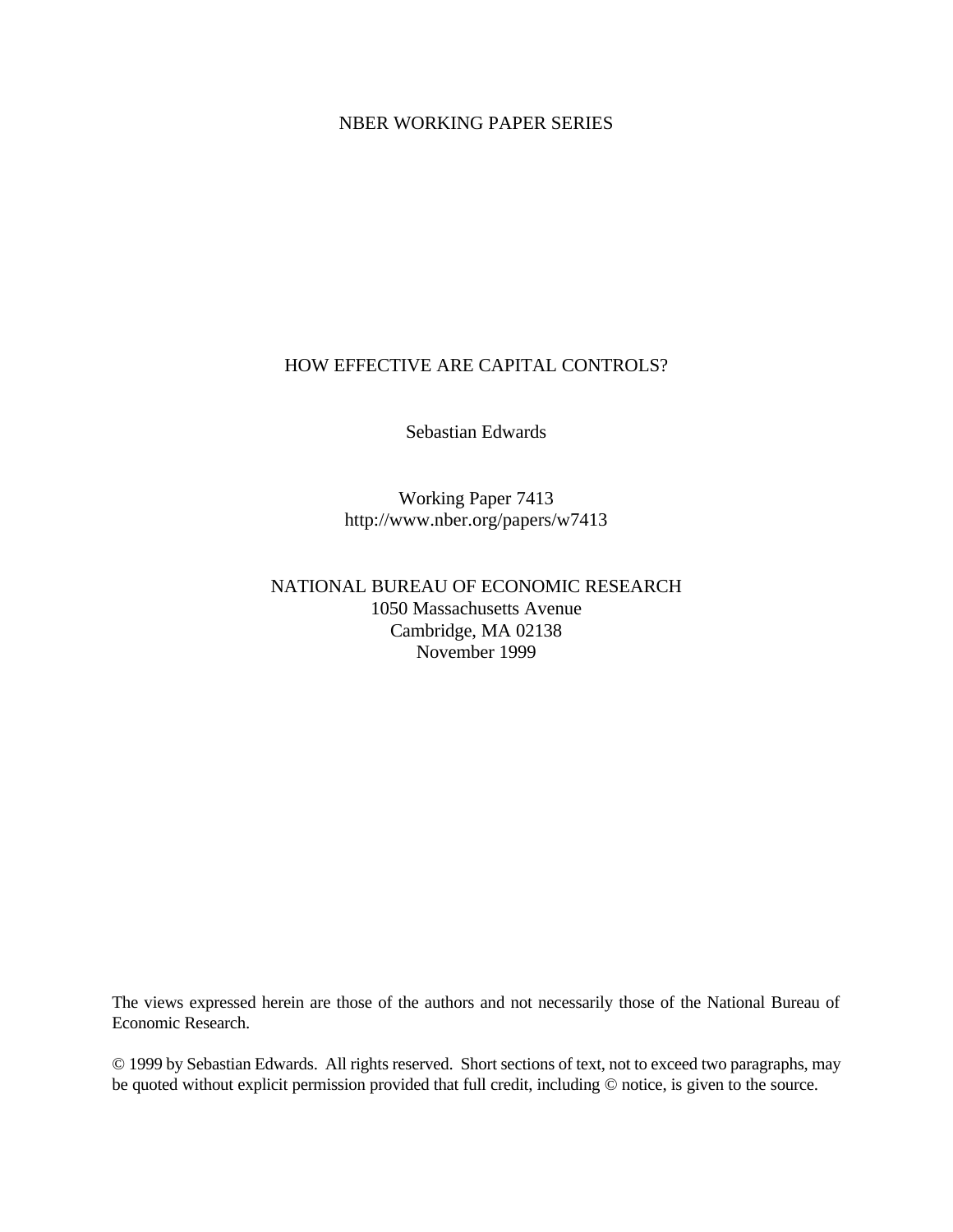## NBER WORKING PAPER SERIES

## HOW EFFECTIVE ARE CAPITAL CONTROLS?

Sebastian Edwards

Working Paper 7413 http://www.nber.org/papers/w7413

NATIONAL BUREAU OF ECONOMIC RESEARCH 1050 Massachusetts Avenue Cambridge, MA 02138 November 1999

The views expressed herein are those of the authors and not necessarily those of the National Bureau of Economic Research.

© 1999 by Sebastian Edwards. All rights reserved. Short sections of text, not to exceed two paragraphs, may be quoted without explicit permission provided that full credit, including © notice, is given to the source.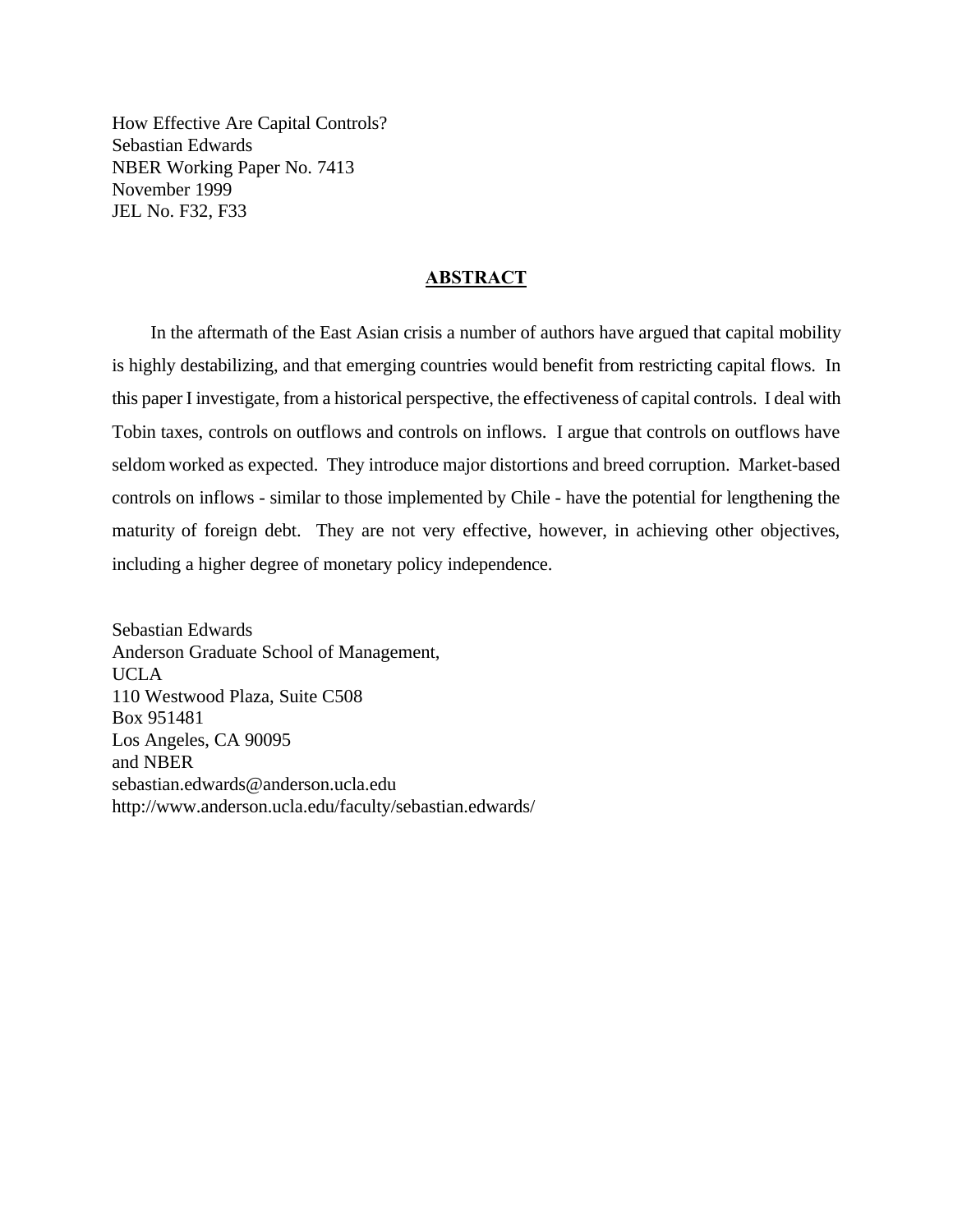How Effective Are Capital Controls? Sebastian Edwards NBER Working Paper No. 7413 November 1999 JEL No. F32, F33

### **ABSTRACT**

 In the aftermath of the East Asian crisis a number of authors have argued that capital mobility is highly destabilizing, and that emerging countries would benefit from restricting capital flows. In this paper I investigate, from a historical perspective, the effectiveness of capital controls. I deal with Tobin taxes, controls on outflows and controls on inflows. I argue that controls on outflows have seldom worked as expected. They introduce major distortions and breed corruption. Market-based controls on inflows - similar to those implemented by Chile - have the potential for lengthening the maturity of foreign debt. They are not very effective, however, in achieving other objectives, including a higher degree of monetary policy independence.

Sebastian Edwards Anderson Graduate School of Management, UCLA 110 Westwood Plaza, Suite C508 Box 951481 Los Angeles, CA 90095 and NBER sebastian.edwards@anderson.ucla.edu http://www.anderson.ucla.edu/faculty/sebastian.edwards/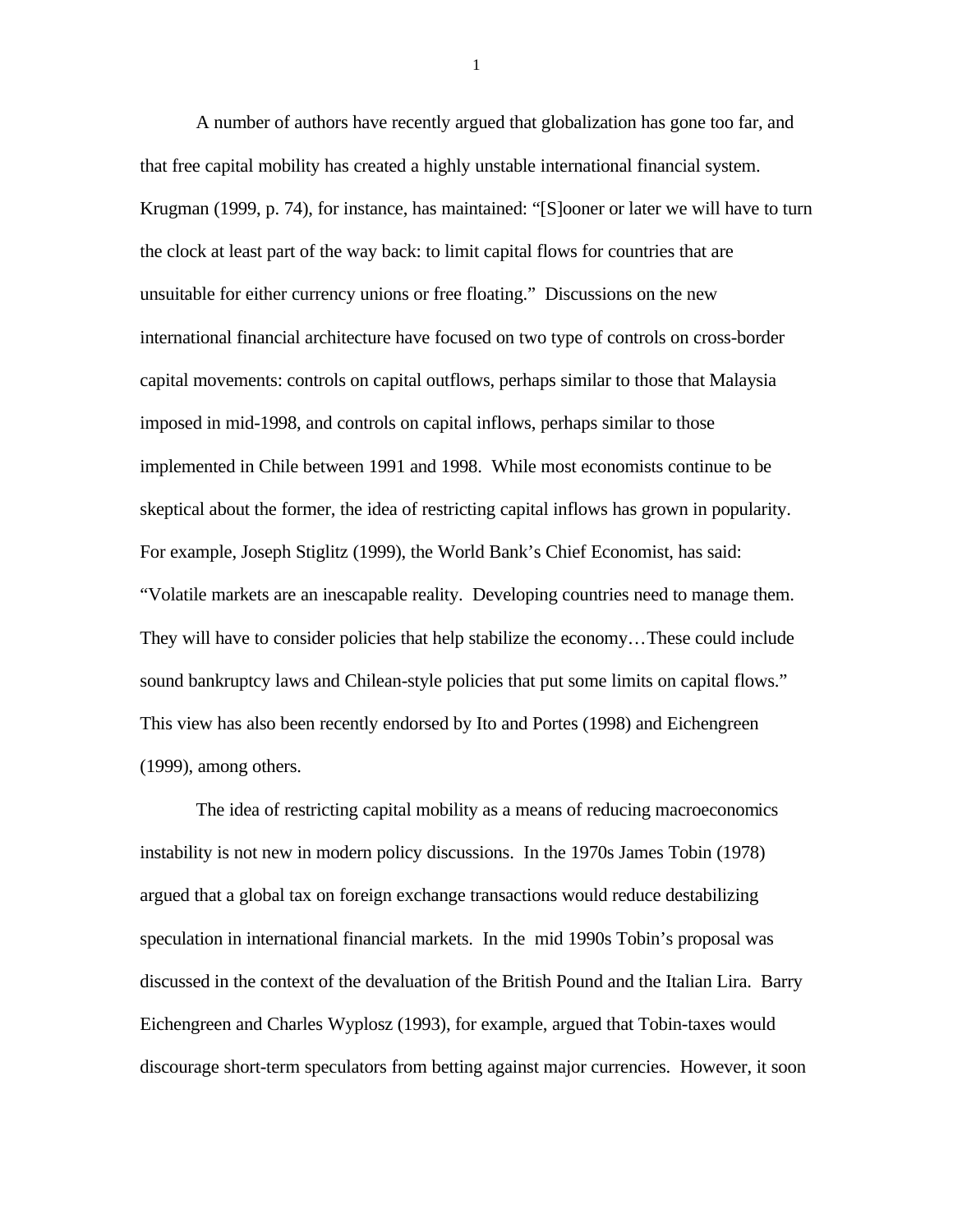A number of authors have recently argued that globalization has gone too far, and that free capital mobility has created a highly unstable international financial system. Krugman (1999, p. 74), for instance, has maintained: "[S]ooner or later we will have to turn the clock at least part of the way back: to limit capital flows for countries that are unsuitable for either currency unions or free floating." Discussions on the new international financial architecture have focused on two type of controls on cross-border capital movements: controls on capital outflows, perhaps similar to those that Malaysia imposed in mid-1998, and controls on capital inflows, perhaps similar to those implemented in Chile between 1991 and 1998. While most economists continue to be skeptical about the former, the idea of restricting capital inflows has grown in popularity. For example, Joseph Stiglitz (1999), the World Bank's Chief Economist, has said: "Volatile markets are an inescapable reality. Developing countries need to manage them. They will have to consider policies that help stabilize the economy…These could include sound bankruptcy laws and Chilean-style policies that put some limits on capital flows." This view has also been recently endorsed by Ito and Portes (1998) and Eichengreen (1999), among others.

The idea of restricting capital mobility as a means of reducing macroeconomics instability is not new in modern policy discussions. In the 1970s James Tobin (1978) argued that a global tax on foreign exchange transactions would reduce destabilizing speculation in international financial markets. In the mid 1990s Tobin's proposal was discussed in the context of the devaluation of the British Pound and the Italian Lira. Barry Eichengreen and Charles Wyplosz (1993), for example, argued that Tobin-taxes would discourage short-term speculators from betting against major currencies. However, it soon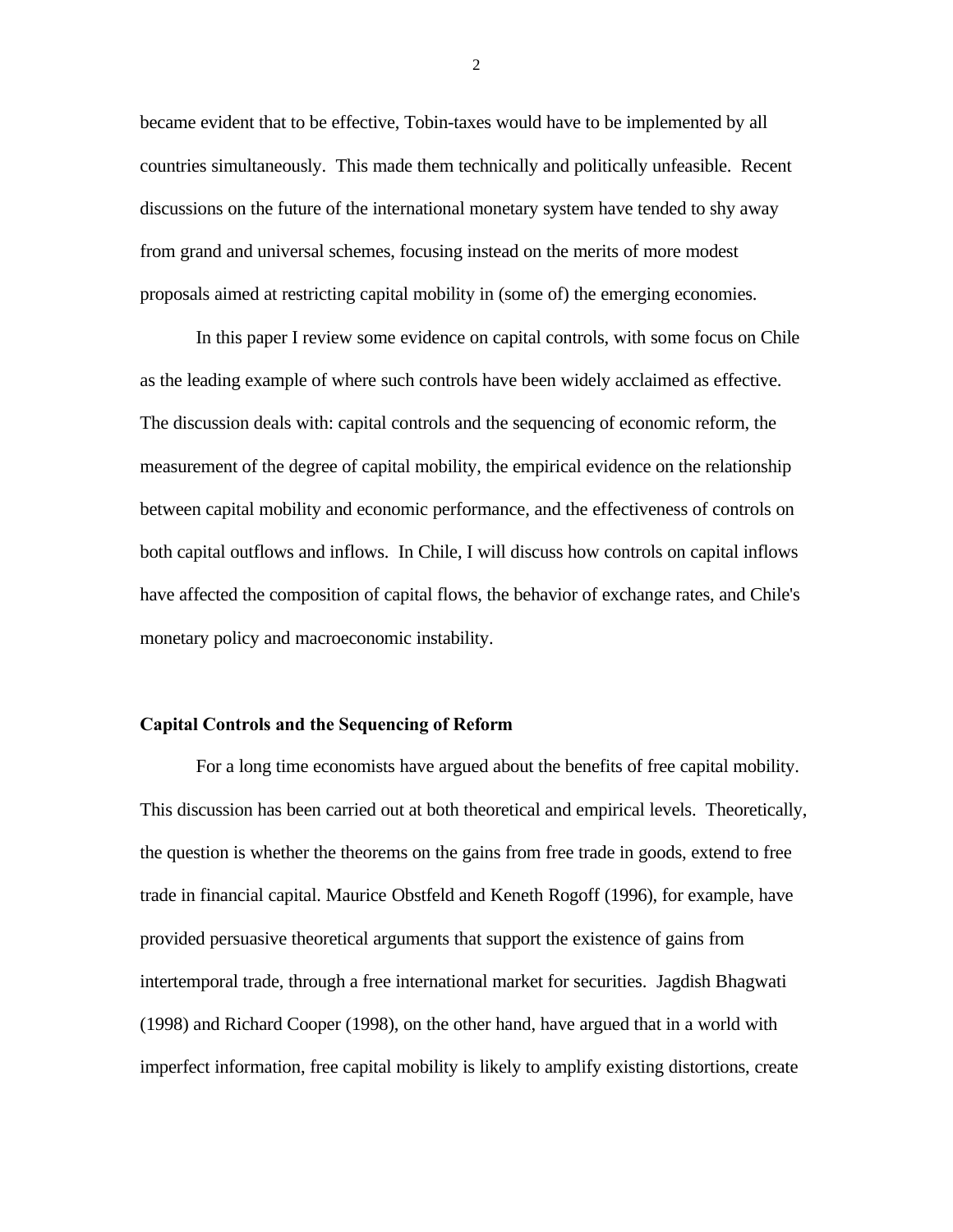became evident that to be effective, Tobin-taxes would have to be implemented by all countries simultaneously. This made them technically and politically unfeasible. Recent discussions on the future of the international monetary system have tended to shy away from grand and universal schemes, focusing instead on the merits of more modest proposals aimed at restricting capital mobility in (some of) the emerging economies.

In this paper I review some evidence on capital controls, with some focus on Chile as the leading example of where such controls have been widely acclaimed as effective. The discussion deals with: capital controls and the sequencing of economic reform, the measurement of the degree of capital mobility, the empirical evidence on the relationship between capital mobility and economic performance, and the effectiveness of controls on both capital outflows and inflows. In Chile, I will discuss how controls on capital inflows have affected the composition of capital flows, the behavior of exchange rates, and Chile's monetary policy and macroeconomic instability.

### **Capital Controls and the Sequencing of Reform**

For a long time economists have argued about the benefits of free capital mobility. This discussion has been carried out at both theoretical and empirical levels. Theoretically, the question is whether the theorems on the gains from free trade in goods, extend to free trade in financial capital. Maurice Obstfeld and Keneth Rogoff (1996), for example, have provided persuasive theoretical arguments that support the existence of gains from intertemporal trade, through a free international market for securities. Jagdish Bhagwati (1998) and Richard Cooper (1998), on the other hand, have argued that in a world with imperfect information, free capital mobility is likely to amplify existing distortions, create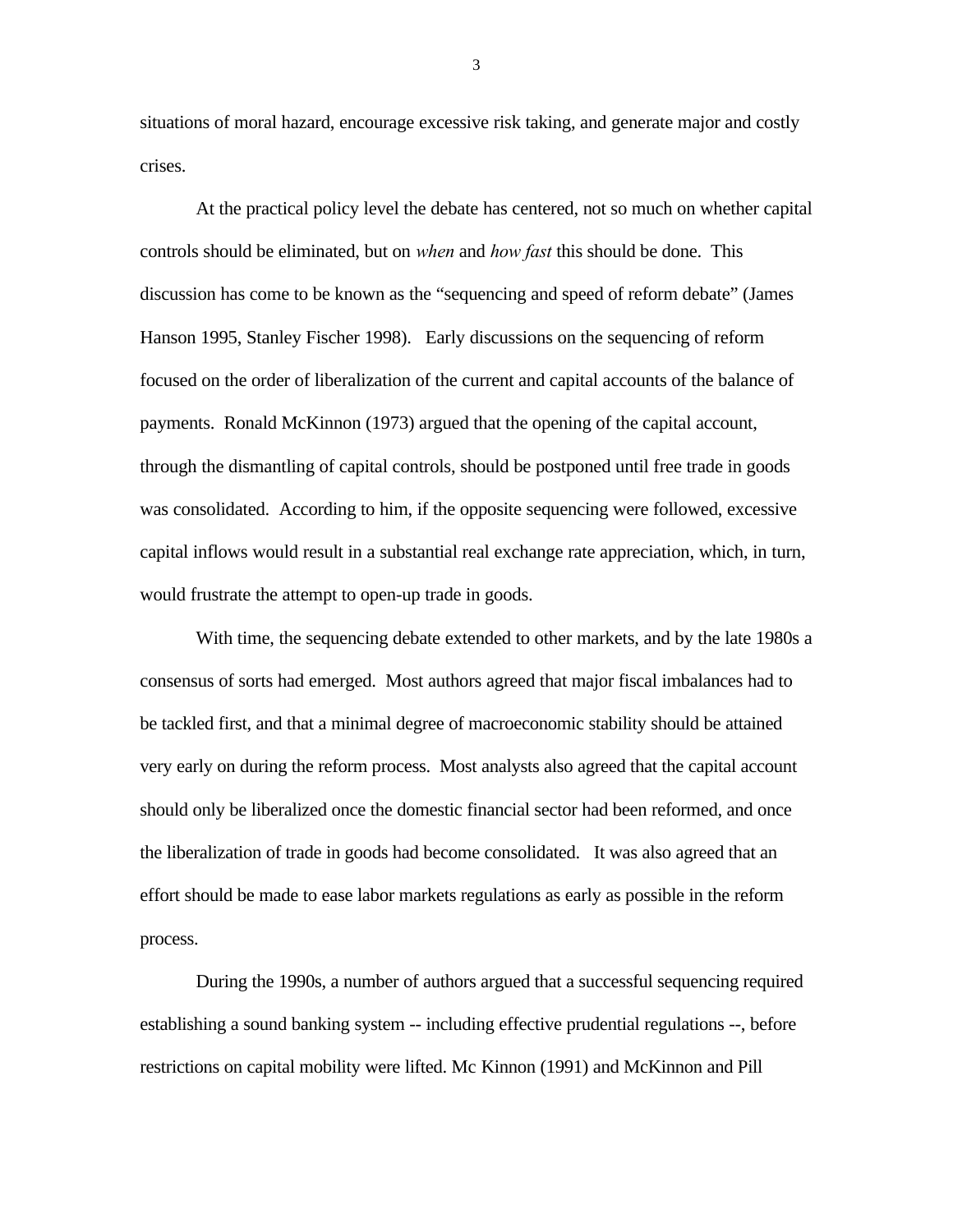situations of moral hazard, encourage excessive risk taking, and generate major and costly crises.

At the practical policy level the debate has centered, not so much on whether capital controls should be eliminated, but on *when* and *how fast* this should be done. This discussion has come to be known as the "sequencing and speed of reform debate" (James Hanson 1995, Stanley Fischer 1998). Early discussions on the sequencing of reform focused on the order of liberalization of the current and capital accounts of the balance of payments. Ronald McKinnon (1973) argued that the opening of the capital account, through the dismantling of capital controls, should be postponed until free trade in goods was consolidated. According to him, if the opposite sequencing were followed, excessive capital inflows would result in a substantial real exchange rate appreciation, which, in turn, would frustrate the attempt to open-up trade in goods.

With time, the sequencing debate extended to other markets, and by the late 1980s a consensus of sorts had emerged. Most authors agreed that major fiscal imbalances had to be tackled first, and that a minimal degree of macroeconomic stability should be attained very early on during the reform process. Most analysts also agreed that the capital account should only be liberalized once the domestic financial sector had been reformed, and once the liberalization of trade in goods had become consolidated. It was also agreed that an effort should be made to ease labor markets regulations as early as possible in the reform process.

During the 1990s, a number of authors argued that a successful sequencing required establishing a sound banking system -- including effective prudential regulations --, before restrictions on capital mobility were lifted. Mc Kinnon (1991) and McKinnon and Pill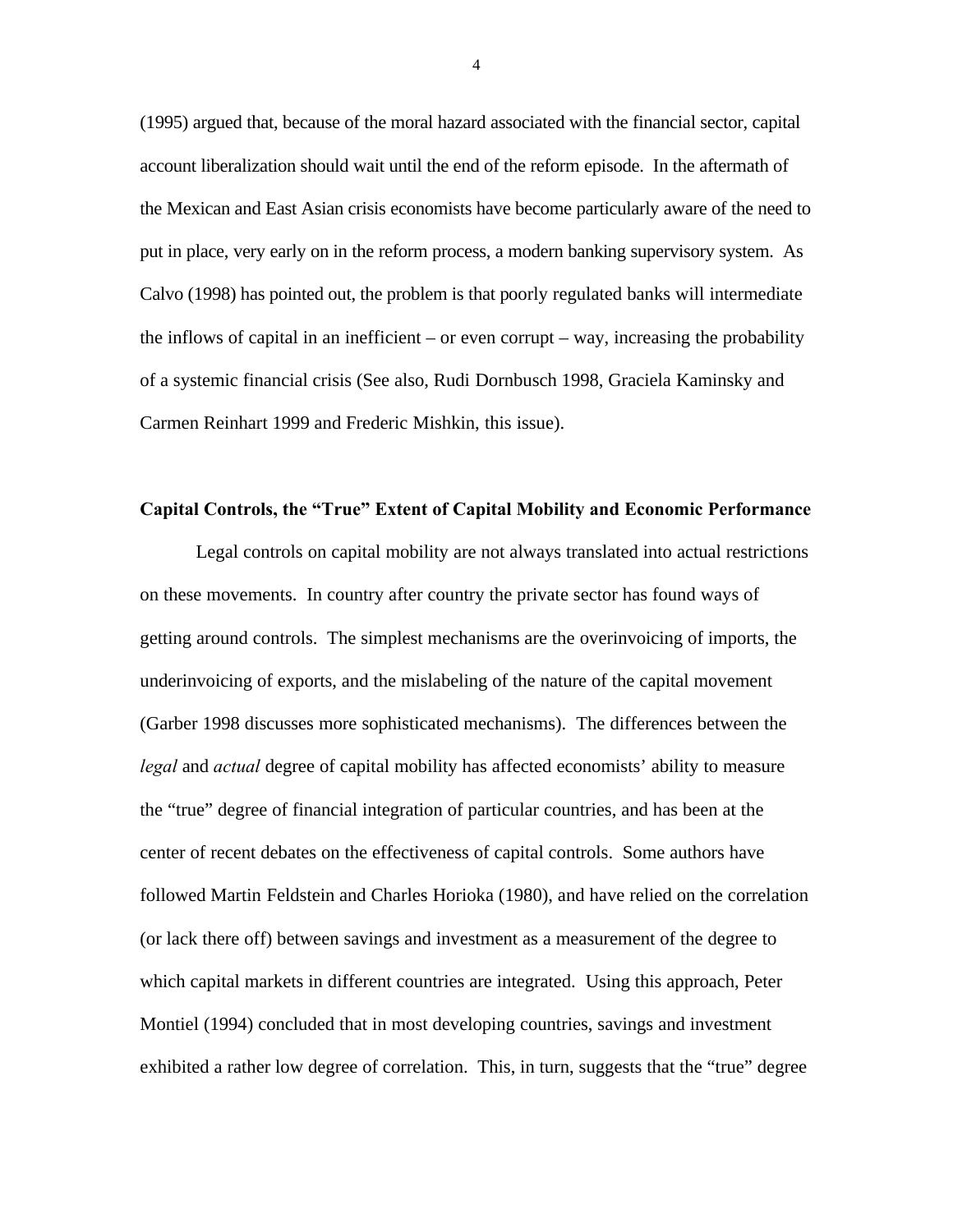(1995) argued that, because of the moral hazard associated with the financial sector, capital account liberalization should wait until the end of the reform episode. In the aftermath of the Mexican and East Asian crisis economists have become particularly aware of the need to put in place, very early on in the reform process, a modern banking supervisory system. As Calvo (1998) has pointed out, the problem is that poorly regulated banks will intermediate the inflows of capital in an inefficient – or even corrupt – way, increasing the probability of a systemic financial crisis (See also, Rudi Dornbusch 1998, Graciela Kaminsky and Carmen Reinhart 1999 and Frederic Mishkin, this issue).

## **Capital Controls, the "True" Extent of Capital Mobility and Economic Performance**

Legal controls on capital mobility are not always translated into actual restrictions on these movements. In country after country the private sector has found ways of getting around controls. The simplest mechanisms are the overinvoicing of imports, the underinvoicing of exports, and the mislabeling of the nature of the capital movement (Garber 1998 discusses more sophisticated mechanisms). The differences between the *legal* and *actual* degree of capital mobility has affected economists' ability to measure the "true" degree of financial integration of particular countries, and has been at the center of recent debates on the effectiveness of capital controls. Some authors have followed Martin Feldstein and Charles Horioka (1980), and have relied on the correlation (or lack there off) between savings and investment as a measurement of the degree to which capital markets in different countries are integrated. Using this approach, Peter Montiel (1994) concluded that in most developing countries, savings and investment exhibited a rather low degree of correlation. This, in turn, suggests that the "true" degree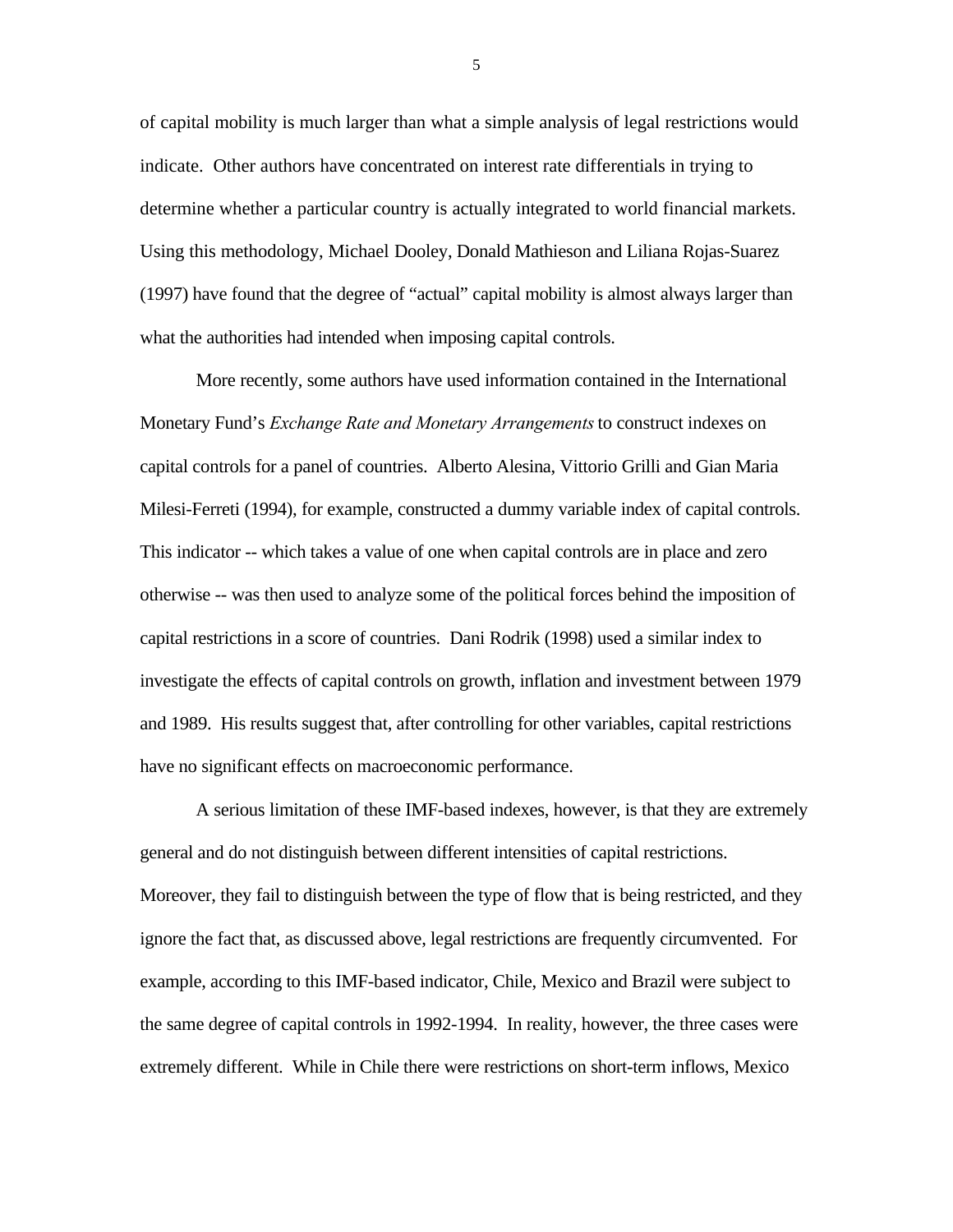of capital mobility is much larger than what a simple analysis of legal restrictions would indicate. Other authors have concentrated on interest rate differentials in trying to determine whether a particular country is actually integrated to world financial markets. Using this methodology, Michael Dooley, Donald Mathieson and Liliana Rojas-Suarez (1997) have found that the degree of "actual" capital mobility is almost always larger than what the authorities had intended when imposing capital controls.

More recently, some authors have used information contained in the International Monetary Fund's *Exchange Rate and Monetary Arrangements*to construct indexes on capital controls for a panel of countries. Alberto Alesina, Vittorio Grilli and Gian Maria Milesi-Ferreti (1994), for example, constructed a dummy variable index of capital controls. This indicator -- which takes a value of one when capital controls are in place and zero otherwise -- was then used to analyze some of the political forces behind the imposition of capital restrictions in a score of countries. Dani Rodrik (1998) used a similar index to investigate the effects of capital controls on growth, inflation and investment between 1979 and 1989. His results suggest that, after controlling for other variables, capital restrictions have no significant effects on macroeconomic performance.

A serious limitation of these IMF-based indexes, however, is that they are extremely general and do not distinguish between different intensities of capital restrictions. Moreover, they fail to distinguish between the type of flow that is being restricted, and they ignore the fact that, as discussed above, legal restrictions are frequently circumvented. For example, according to this IMF-based indicator, Chile, Mexico and Brazil were subject to the same degree of capital controls in 1992-1994. In reality, however, the three cases were extremely different. While in Chile there were restrictions on short-term inflows, Mexico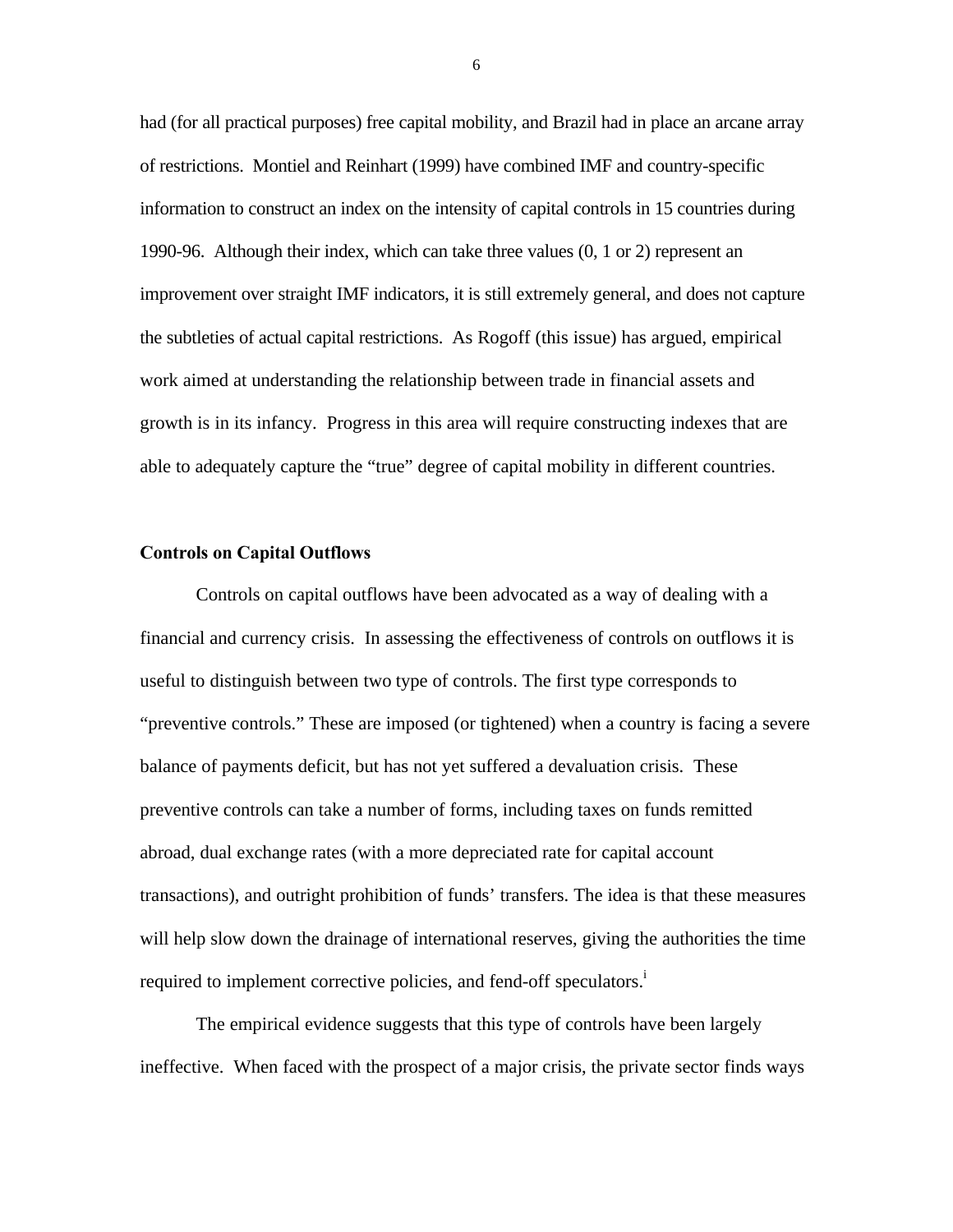had (for all practical purposes) free capital mobility, and Brazil had in place an arcane array of restrictions. Montiel and Reinhart (1999) have combined IMF and country-specific information to construct an index on the intensity of capital controls in 15 countries during 1990-96. Although their index, which can take three values (0, 1 or 2) represent an improvement over straight IMF indicators, it is still extremely general, and does not capture the subtleties of actual capital restrictions. As Rogoff (this issue) has argued, empirical work aimed at understanding the relationship between trade in financial assets and growth is in its infancy. Progress in this area will require constructing indexes that are able to adequately capture the "true" degree of capital mobility in different countries.

#### **Controls on Capital Outflows**

Controls on capital outflows have been advocated as a way of dealing with a financial and currency crisis. In assessing the effectiveness of controls on outflows it is useful to distinguish between two type of controls. The first type corresponds to "preventive controls." These are imposed (or tightened) when a country is facing a severe balance of payments deficit, but has not yet suffered a devaluation crisis. These preventive controls can take a number of forms, including taxes on funds remitted abroad, dual exchange rates (with a more depreciated rate for capital account transactions), and outright prohibition of funds' transfers. The idea is that these measures will help slow down the drainage of international reserves, giving the authorities the time required to implement corrective policies, and fend-off speculators.<sup>i</sup>

The empirical evidence suggests that this type of controls have been largely ineffective. When faced with the prospect of a major crisis, the private sector finds ways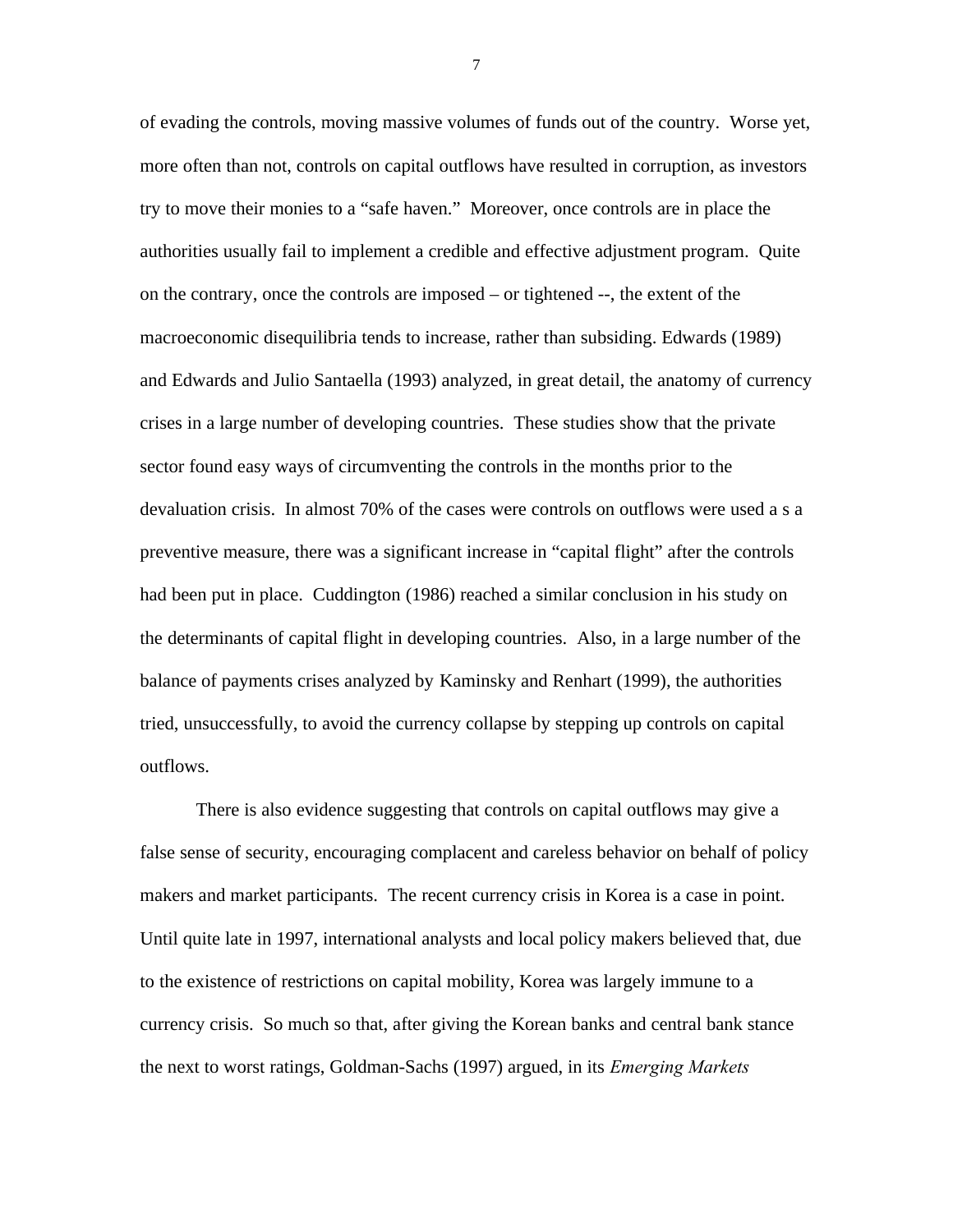of evading the controls, moving massive volumes of funds out of the country. Worse yet, more often than not, controls on capital outflows have resulted in corruption, as investors try to move their monies to a "safe haven." Moreover, once controls are in place the authorities usually fail to implement a credible and effective adjustment program. Quite on the contrary, once the controls are imposed – or tightened --, the extent of the macroeconomic disequilibria tends to increase, rather than subsiding. Edwards (1989) and Edwards and Julio Santaella (1993) analyzed, in great detail, the anatomy of currency crises in a large number of developing countries. These studies show that the private sector found easy ways of circumventing the controls in the months prior to the devaluation crisis. In almost 70% of the cases were controls on outflows were used a s a preventive measure, there was a significant increase in "capital flight" after the controls had been put in place. Cuddington (1986) reached a similar conclusion in his study on the determinants of capital flight in developing countries. Also, in a large number of the balance of payments crises analyzed by Kaminsky and Renhart (1999), the authorities tried, unsuccessfully, to avoid the currency collapse by stepping up controls on capital outflows.

There is also evidence suggesting that controls on capital outflows may give a false sense of security, encouraging complacent and careless behavior on behalf of policy makers and market participants. The recent currency crisis in Korea is a case in point. Until quite late in 1997, international analysts and local policy makers believed that, due to the existence of restrictions on capital mobility, Korea was largely immune to a currency crisis. So much so that, after giving the Korean banks and central bank stance the next to worst ratings, Goldman-Sachs (1997) argued, in its *Emerging Markets*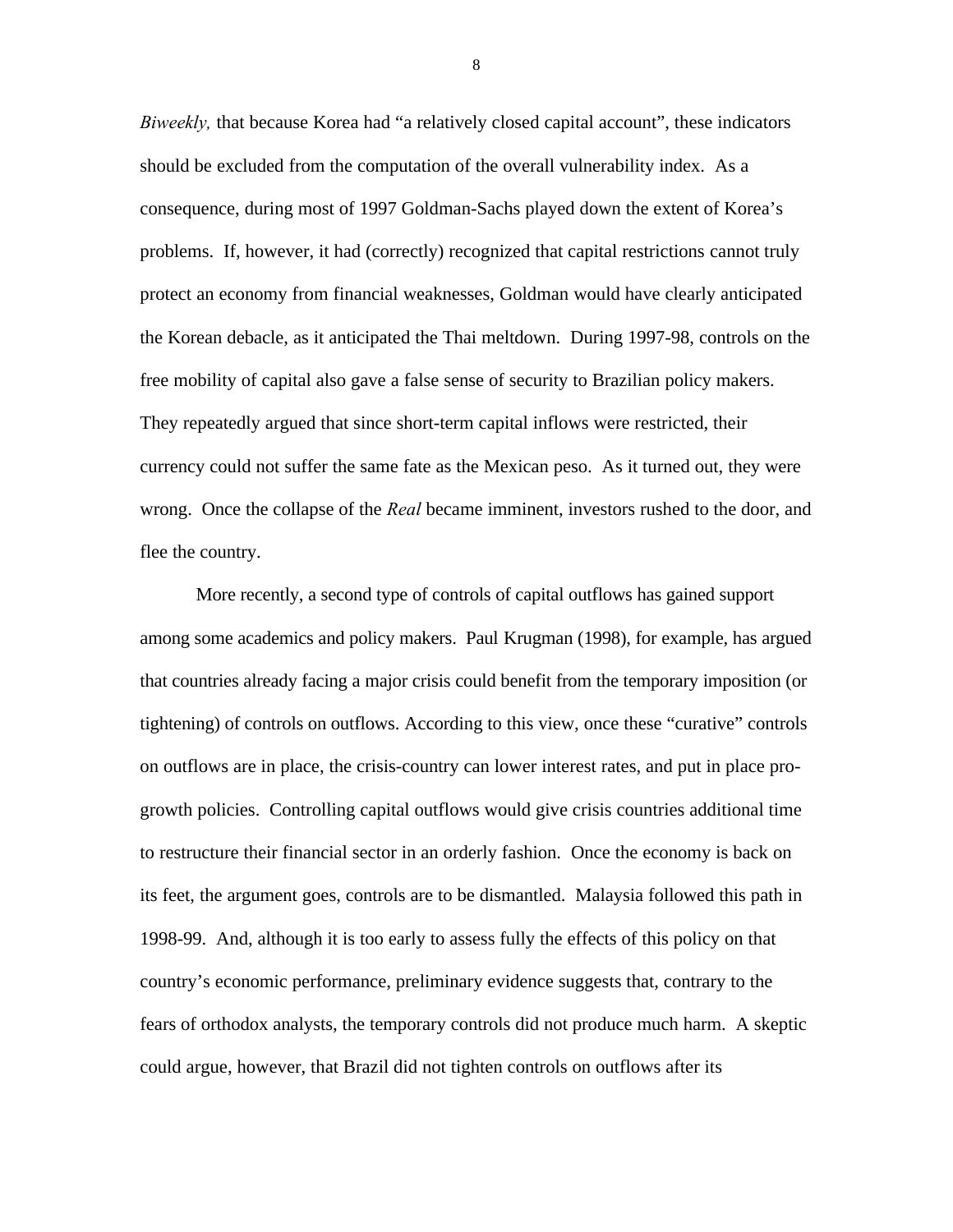*Biweekly,* that because Korea had "a relatively closed capital account", these indicators should be excluded from the computation of the overall vulnerability index. As a consequence, during most of 1997 Goldman-Sachs played down the extent of Korea's problems. If, however, it had (correctly) recognized that capital restrictions cannot truly protect an economy from financial weaknesses, Goldman would have clearly anticipated the Korean debacle, as it anticipated the Thai meltdown. During 1997-98, controls on the free mobility of capital also gave a false sense of security to Brazilian policy makers. They repeatedly argued that since short-term capital inflows were restricted, their currency could not suffer the same fate as the Mexican peso. As it turned out, they were wrong. Once the collapse of the *Real* became imminent, investors rushed to the door, and flee the country.

More recently, a second type of controls of capital outflows has gained support among some academics and policy makers. Paul Krugman (1998), for example, has argued that countries already facing a major crisis could benefit from the temporary imposition (or tightening) of controls on outflows. According to this view, once these "curative" controls on outflows are in place, the crisis-country can lower interest rates, and put in place progrowth policies. Controlling capital outflows would give crisis countries additional time to restructure their financial sector in an orderly fashion. Once the economy is back on its feet, the argument goes, controls are to be dismantled. Malaysia followed this path in 1998-99. And, although it is too early to assess fully the effects of this policy on that country's economic performance, preliminary evidence suggests that, contrary to the fears of orthodox analysts, the temporary controls did not produce much harm. A skeptic could argue, however, that Brazil did not tighten controls on outflows after its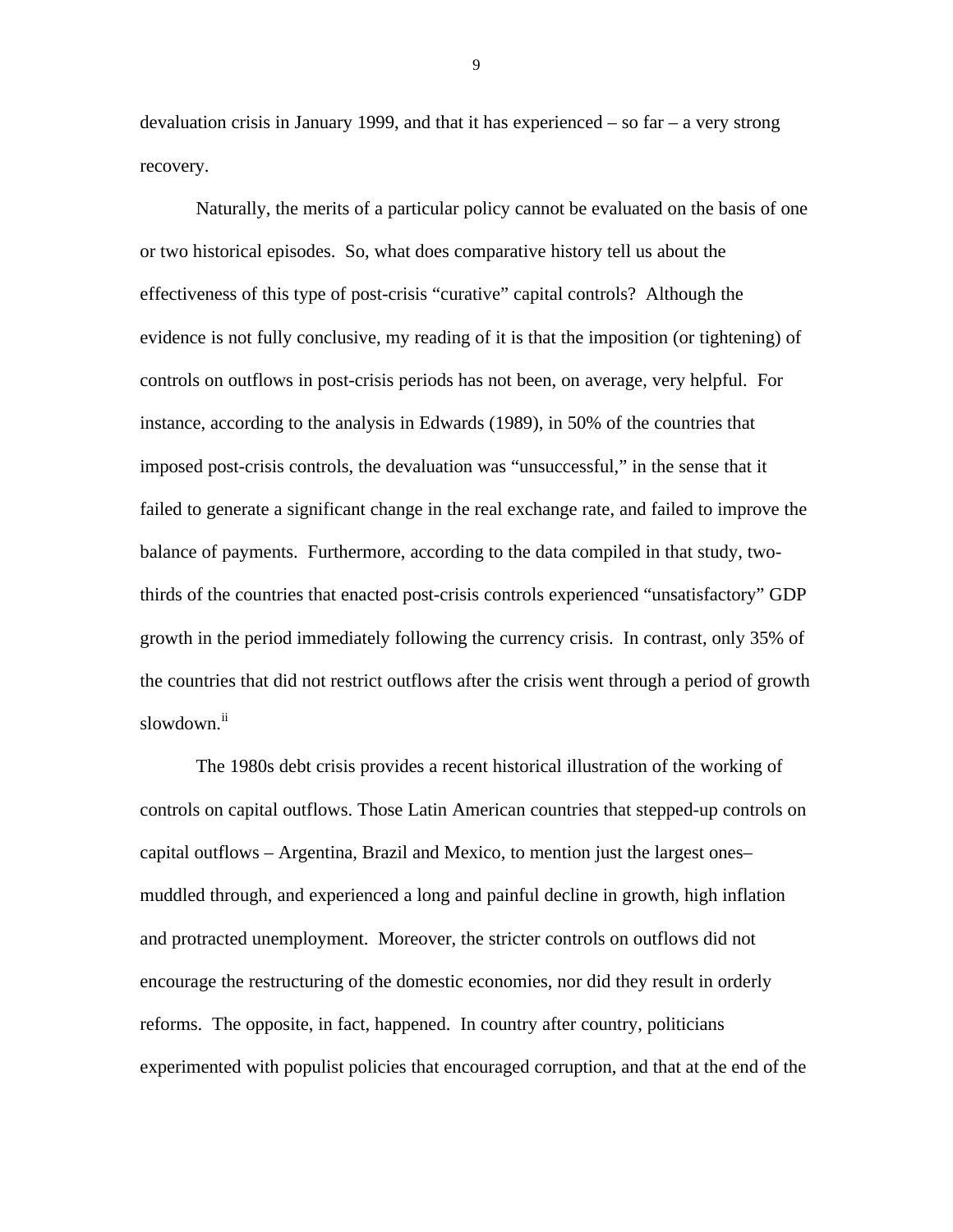devaluation crisis in January 1999, and that it has experienced  $-$  so far  $-$  a very strong recovery.

Naturally, the merits of a particular policy cannot be evaluated on the basis of one or two historical episodes. So, what does comparative history tell us about the effectiveness of this type of post-crisis "curative" capital controls? Although the evidence is not fully conclusive, my reading of it is that the imposition (or tightening) of controls on outflows in post-crisis periods has not been, on average, very helpful. For instance, according to the analysis in Edwards (1989), in 50% of the countries that imposed post-crisis controls, the devaluation was "unsuccessful," in the sense that it failed to generate a significant change in the real exchange rate, and failed to improve the balance of payments. Furthermore, according to the data compiled in that study, twothirds of the countries that enacted post-crisis controls experienced "unsatisfactory" GDP growth in the period immediately following the currency crisis. In contrast, only 35% of the countries that did not restrict outflows after the crisis went through a period of growth slowdown.<sup>ii</sup>

The 1980s debt crisis provides a recent historical illustration of the working of controls on capital outflows. Those Latin American countries that stepped-up controls on capital outflows – Argentina, Brazil and Mexico, to mention just the largest ones– muddled through, and experienced a long and painful decline in growth, high inflation and protracted unemployment. Moreover, the stricter controls on outflows did not encourage the restructuring of the domestic economies, nor did they result in orderly reforms. The opposite, in fact, happened. In country after country, politicians experimented with populist policies that encouraged corruption, and that at the end of the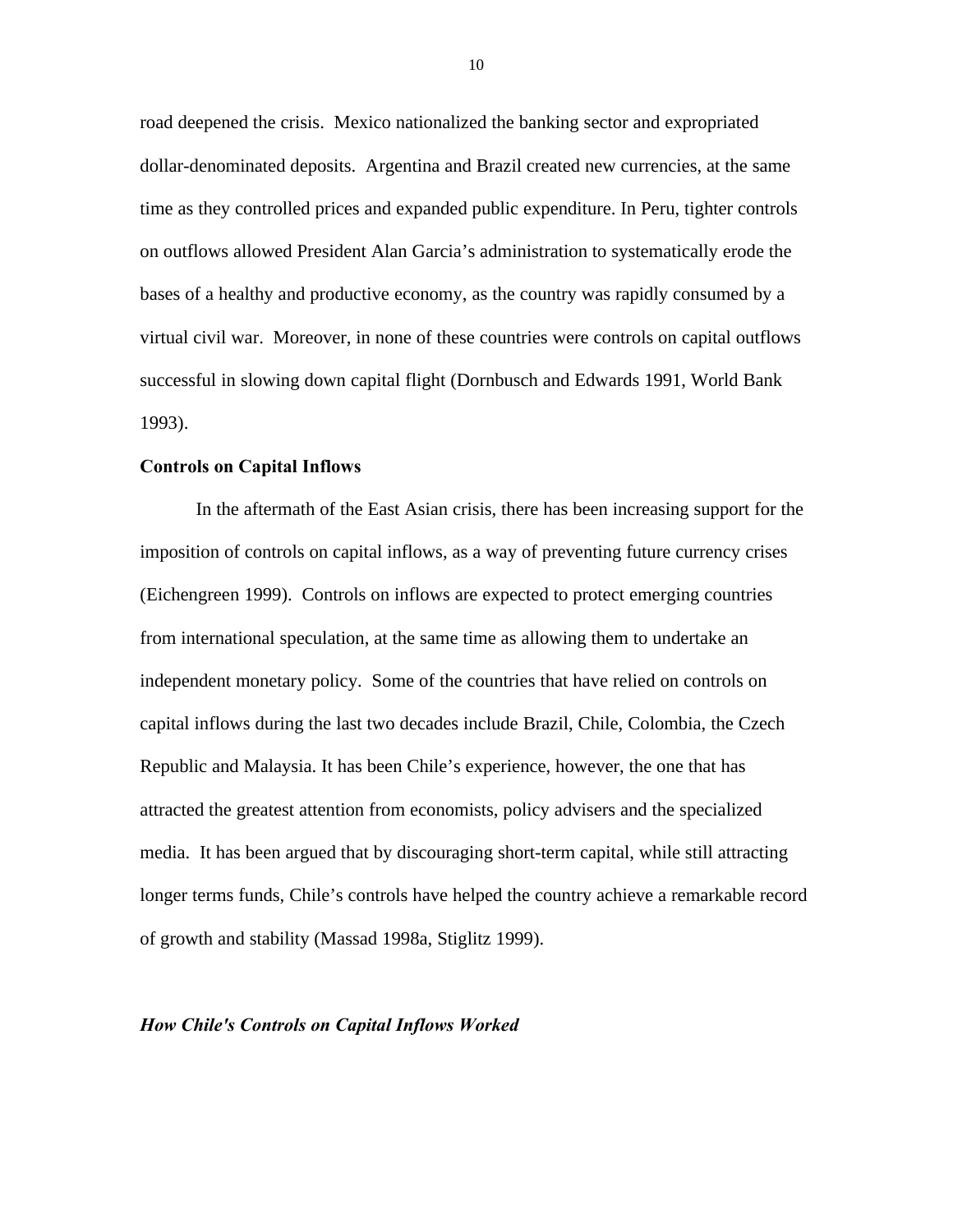road deepened the crisis. Mexico nationalized the banking sector and expropriated dollar-denominated deposits. Argentina and Brazil created new currencies, at the same time as they controlled prices and expanded public expenditure. In Peru, tighter controls on outflows allowed President Alan Garcia's administration to systematically erode the bases of a healthy and productive economy, as the country was rapidly consumed by a virtual civil war. Moreover, in none of these countries were controls on capital outflows successful in slowing down capital flight (Dornbusch and Edwards 1991, World Bank 1993).

### **Controls on Capital Inflows**

In the aftermath of the East Asian crisis, there has been increasing support for the imposition of controls on capital inflows, as a way of preventing future currency crises (Eichengreen 1999). Controls on inflows are expected to protect emerging countries from international speculation, at the same time as allowing them to undertake an independent monetary policy. Some of the countries that have relied on controls on capital inflows during the last two decades include Brazil, Chile, Colombia, the Czech Republic and Malaysia. It has been Chile's experience, however, the one that has attracted the greatest attention from economists, policy advisers and the specialized media. It has been argued that by discouraging short-term capital, while still attracting longer terms funds, Chile's controls have helped the country achieve a remarkable record of growth and stability (Massad 1998a, Stiglitz 1999).

#### *How Chile's Controls on Capital Inflows Worked*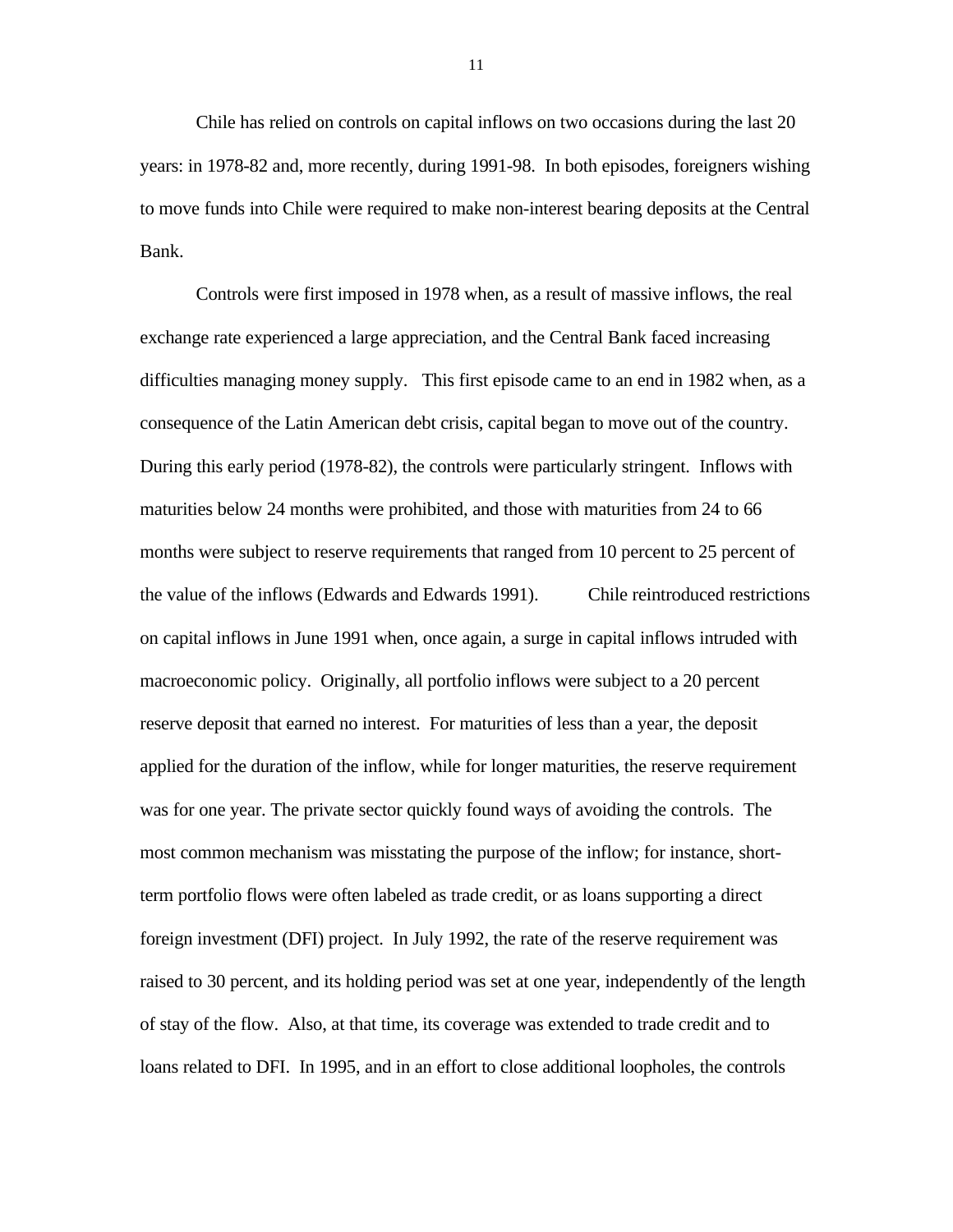Chile has relied on controls on capital inflows on two occasions during the last 20 years: in 1978-82 and, more recently, during 1991-98. In both episodes, foreigners wishing to move funds into Chile were required to make non-interest bearing deposits at the Central Bank.

Controls were first imposed in 1978 when, as a result of massive inflows, the real exchange rate experienced a large appreciation, and the Central Bank faced increasing difficulties managing money supply. This first episode came to an end in 1982 when, as a consequence of the Latin American debt crisis, capital began to move out of the country. During this early period (1978-82), the controls were particularly stringent. Inflows with maturities below 24 months were prohibited, and those with maturities from 24 to 66 months were subject to reserve requirements that ranged from 10 percent to 25 percent of the value of the inflows (Edwards and Edwards 1991). Chile reintroduced restrictions on capital inflows in June 1991 when, once again, a surge in capital inflows intruded with macroeconomic policy. Originally, all portfolio inflows were subject to a 20 percent reserve deposit that earned no interest. For maturities of less than a year, the deposit applied for the duration of the inflow, while for longer maturities, the reserve requirement was for one year. The private sector quickly found ways of avoiding the controls. The most common mechanism was misstating the purpose of the inflow; for instance, shortterm portfolio flows were often labeled as trade credit, or as loans supporting a direct foreign investment (DFI) project. In July 1992, the rate of the reserve requirement was raised to 30 percent, and its holding period was set at one year, independently of the length of stay of the flow. Also, at that time, its coverage was extended to trade credit and to loans related to DFI. In 1995, and in an effort to close additional loopholes, the controls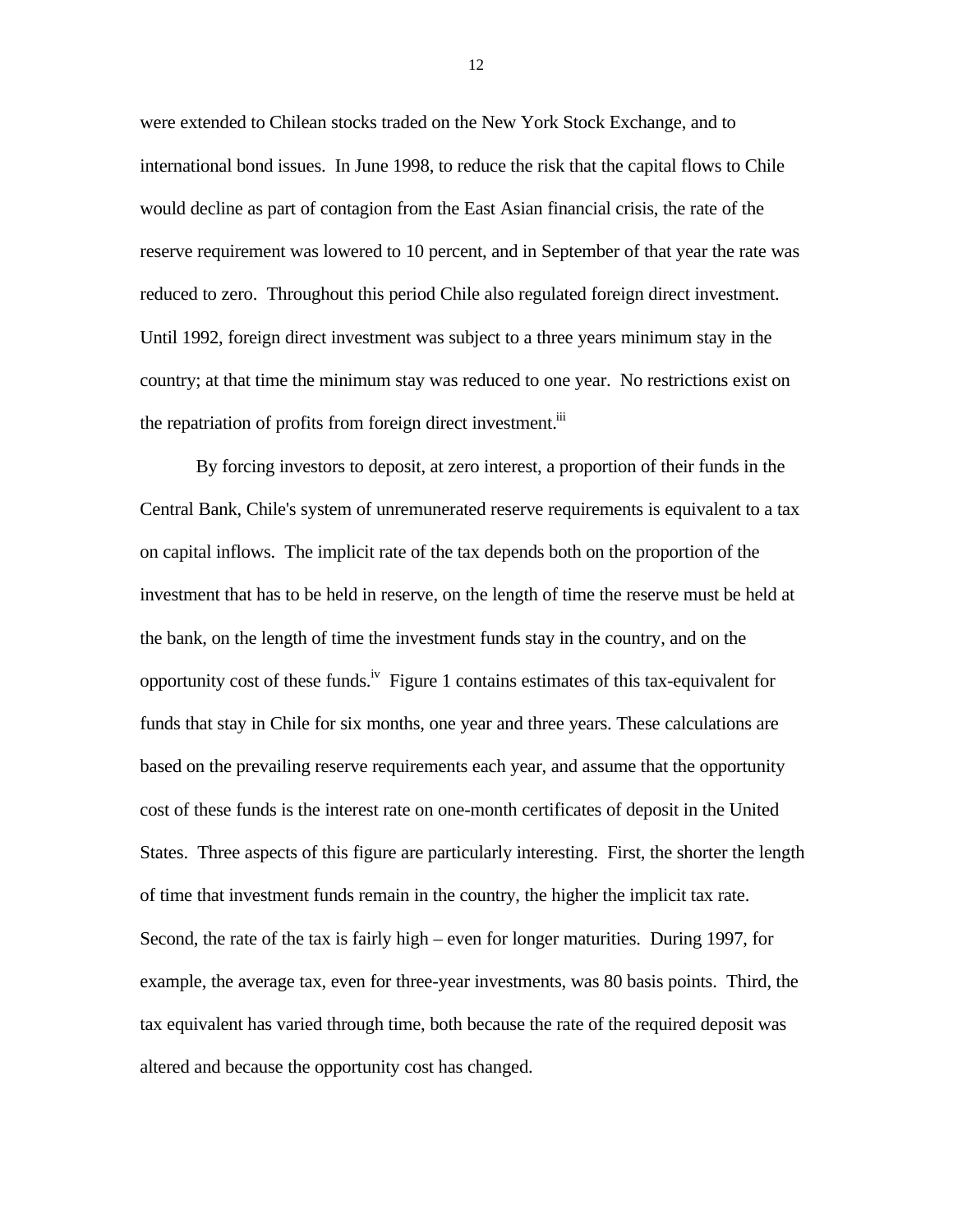were extended to Chilean stocks traded on the New York Stock Exchange, and to international bond issues. In June 1998, to reduce the risk that the capital flows to Chile would decline as part of contagion from the East Asian financial crisis, the rate of the reserve requirement was lowered to 10 percent, and in September of that year the rate was reduced to zero. Throughout this period Chile also regulated foreign direct investment. Until 1992, foreign direct investment was subject to a three years minimum stay in the country; at that time the minimum stay was reduced to one year. No restrictions exist on the repatriation of profits from foreign direct investment.<sup>iii</sup>

By forcing investors to deposit, at zero interest, a proportion of their funds in the Central Bank, Chile's system of unremunerated reserve requirements is equivalent to a tax on capital inflows. The implicit rate of the tax depends both on the proportion of the investment that has to be held in reserve, on the length of time the reserve must be held at the bank, on the length of time the investment funds stay in the country, and on the opportunity cost of these funds.<sup>iv</sup> Figure 1 contains estimates of this tax-equivalent for funds that stay in Chile for six months, one year and three years. These calculations are based on the prevailing reserve requirements each year, and assume that the opportunity cost of these funds is the interest rate on one-month certificates of deposit in the United States. Three aspects of this figure are particularly interesting. First, the shorter the length of time that investment funds remain in the country, the higher the implicit tax rate. Second, the rate of the tax is fairly high – even for longer maturities. During 1997, for example, the average tax, even for three-year investments, was 80 basis points. Third, the tax equivalent has varied through time, both because the rate of the required deposit was altered and because the opportunity cost has changed.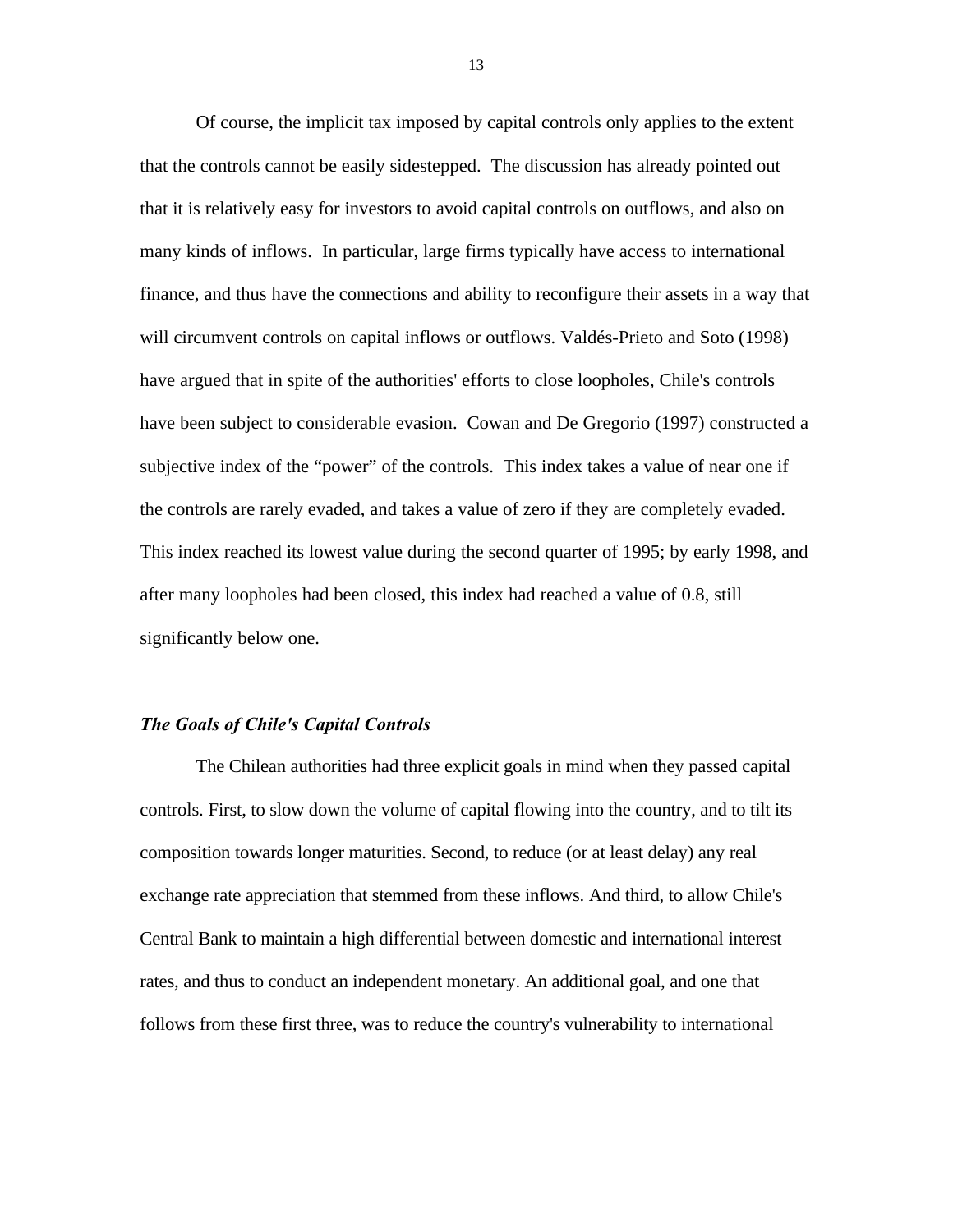Of course, the implicit tax imposed by capital controls only applies to the extent that the controls cannot be easily sidestepped. The discussion has already pointed out that it is relatively easy for investors to avoid capital controls on outflows, and also on many kinds of inflows. In particular, large firms typically have access to international finance, and thus have the connections and ability to reconfigure their assets in a way that will circumvent controls on capital inflows or outflows. Valdés-Prieto and Soto (1998) have argued that in spite of the authorities' efforts to close loopholes, Chile's controls have been subject to considerable evasion. Cowan and De Gregorio (1997) constructed a subjective index of the "power" of the controls. This index takes a value of near one if the controls are rarely evaded, and takes a value of zero if they are completely evaded. This index reached its lowest value during the second quarter of 1995; by early 1998, and after many loopholes had been closed, this index had reached a value of 0.8, still significantly below one.

### *The Goals of Chile's Capital Controls*

The Chilean authorities had three explicit goals in mind when they passed capital controls. First, to slow down the volume of capital flowing into the country, and to tilt its composition towards longer maturities. Second, to reduce (or at least delay) any real exchange rate appreciation that stemmed from these inflows. And third, to allow Chile's Central Bank to maintain a high differential between domestic and international interest rates, and thus to conduct an independent monetary. An additional goal, and one that follows from these first three, was to reduce the country's vulnerability to international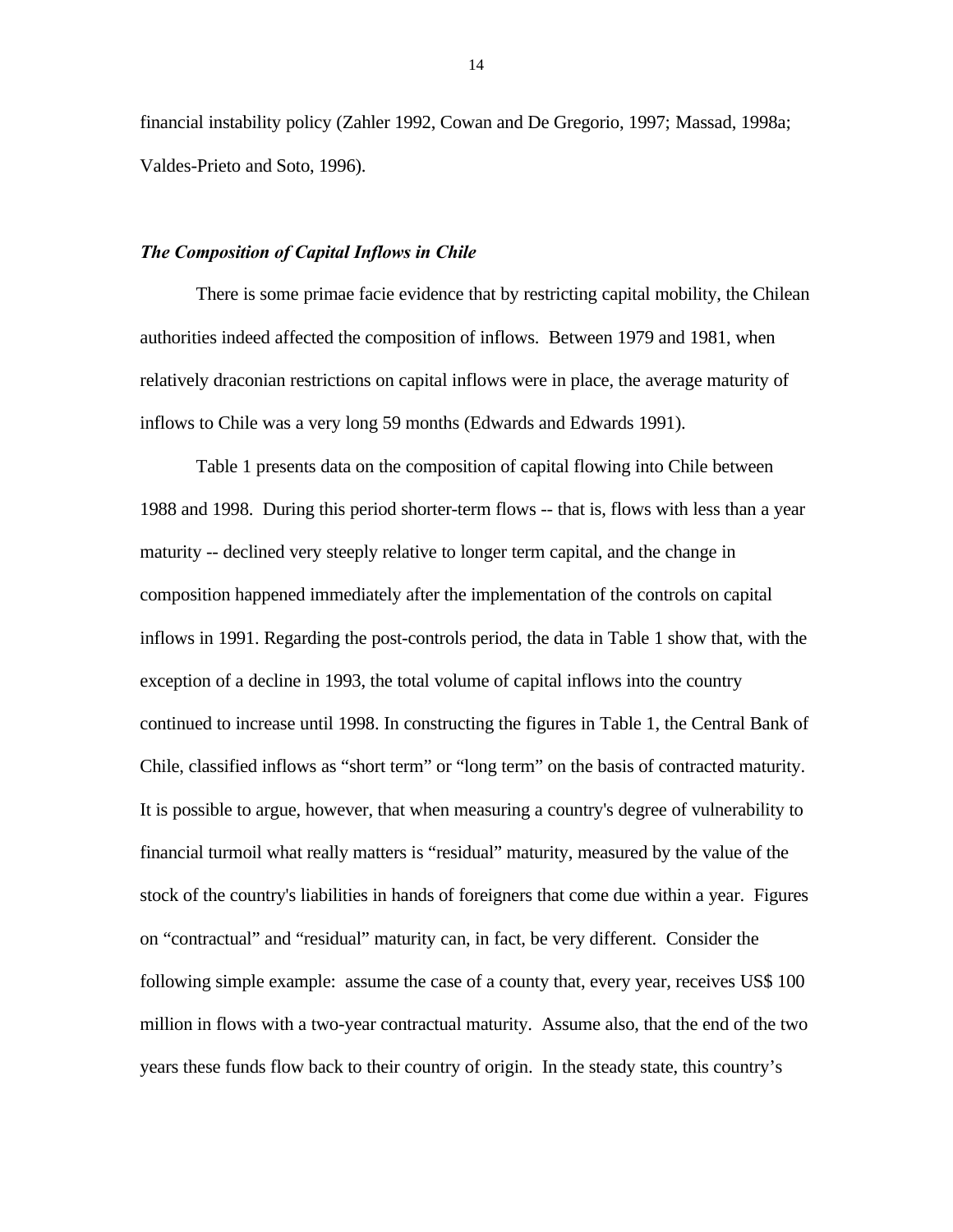financial instability policy (Zahler 1992, Cowan and De Gregorio, 1997; Massad, 1998a; Valdes-Prieto and Soto, 1996).

### *The Composition of Capital Inflows in Chile*

There is some primae facie evidence that by restricting capital mobility, the Chilean authorities indeed affected the composition of inflows. Between 1979 and 1981, when relatively draconian restrictions on capital inflows were in place, the average maturity of inflows to Chile was a very long 59 months (Edwards and Edwards 1991).

Table 1 presents data on the composition of capital flowing into Chile between 1988 and 1998. During this period shorter-term flows -- that is, flows with less than a year maturity -- declined very steeply relative to longer term capital, and the change in composition happened immediately after the implementation of the controls on capital inflows in 1991. Regarding the post-controls period, the data in Table 1 show that, with the exception of a decline in 1993, the total volume of capital inflows into the country continued to increase until 1998. In constructing the figures in Table 1, the Central Bank of Chile, classified inflows as "short term" or "long term" on the basis of contracted maturity. It is possible to argue, however, that when measuring a country's degree of vulnerability to financial turmoil what really matters is "residual" maturity, measured by the value of the stock of the country's liabilities in hands of foreigners that come due within a year. Figures on "contractual" and "residual" maturity can, in fact, be very different. Consider the following simple example: assume the case of a county that, every year, receives US\$ 100 million in flows with a two-year contractual maturity. Assume also, that the end of the two years these funds flow back to their country of origin. In the steady state, this country's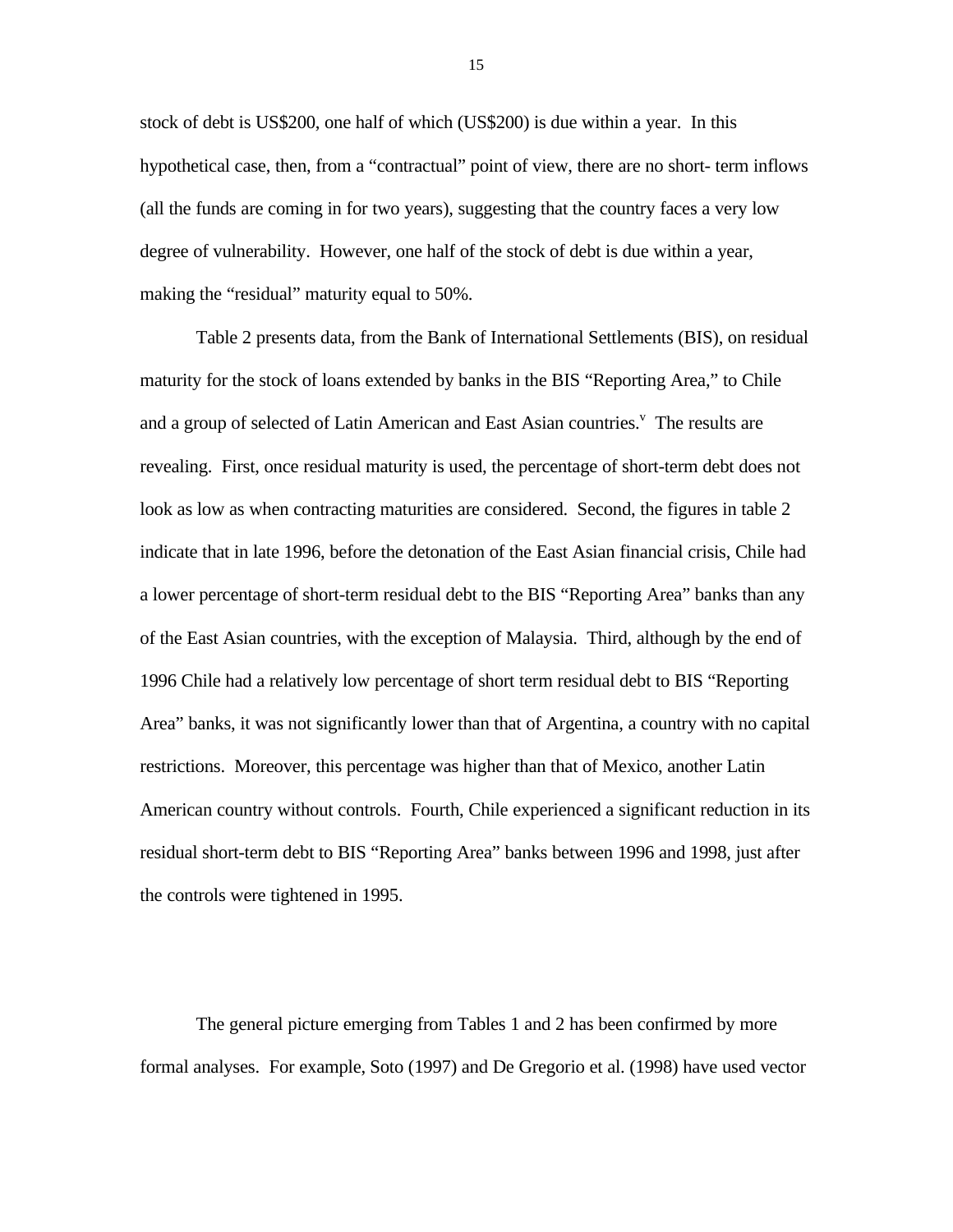stock of debt is US\$200, one half of which (US\$200) is due within a year. In this hypothetical case, then, from a "contractual" point of view, there are no short- term inflows (all the funds are coming in for two years), suggesting that the country faces a very low degree of vulnerability. However, one half of the stock of debt is due within a year, making the "residual" maturity equal to 50%.

Table 2 presents data, from the Bank of International Settlements (BIS), on residual maturity for the stock of loans extended by banks in the BIS "Reporting Area," to Chile and a group of selected of Latin American and East Asian countries.<sup>V</sup> The results are revealing. First, once residual maturity is used, the percentage of short-term debt does not look as low as when contracting maturities are considered. Second, the figures in table 2 indicate that in late 1996, before the detonation of the East Asian financial crisis, Chile had a lower percentage of short-term residual debt to the BIS "Reporting Area" banks than any of the East Asian countries, with the exception of Malaysia. Third, although by the end of 1996 Chile had a relatively low percentage of short term residual debt to BIS "Reporting Area" banks, it was not significantly lower than that of Argentina, a country with no capital restrictions. Moreover, this percentage was higher than that of Mexico, another Latin American country without controls. Fourth, Chile experienced a significant reduction in its residual short-term debt to BIS "Reporting Area" banks between 1996 and 1998, just after the controls were tightened in 1995.

The general picture emerging from Tables 1 and 2 has been confirmed by more formal analyses. For example, Soto (1997) and De Gregorio et al. (1998) have used vector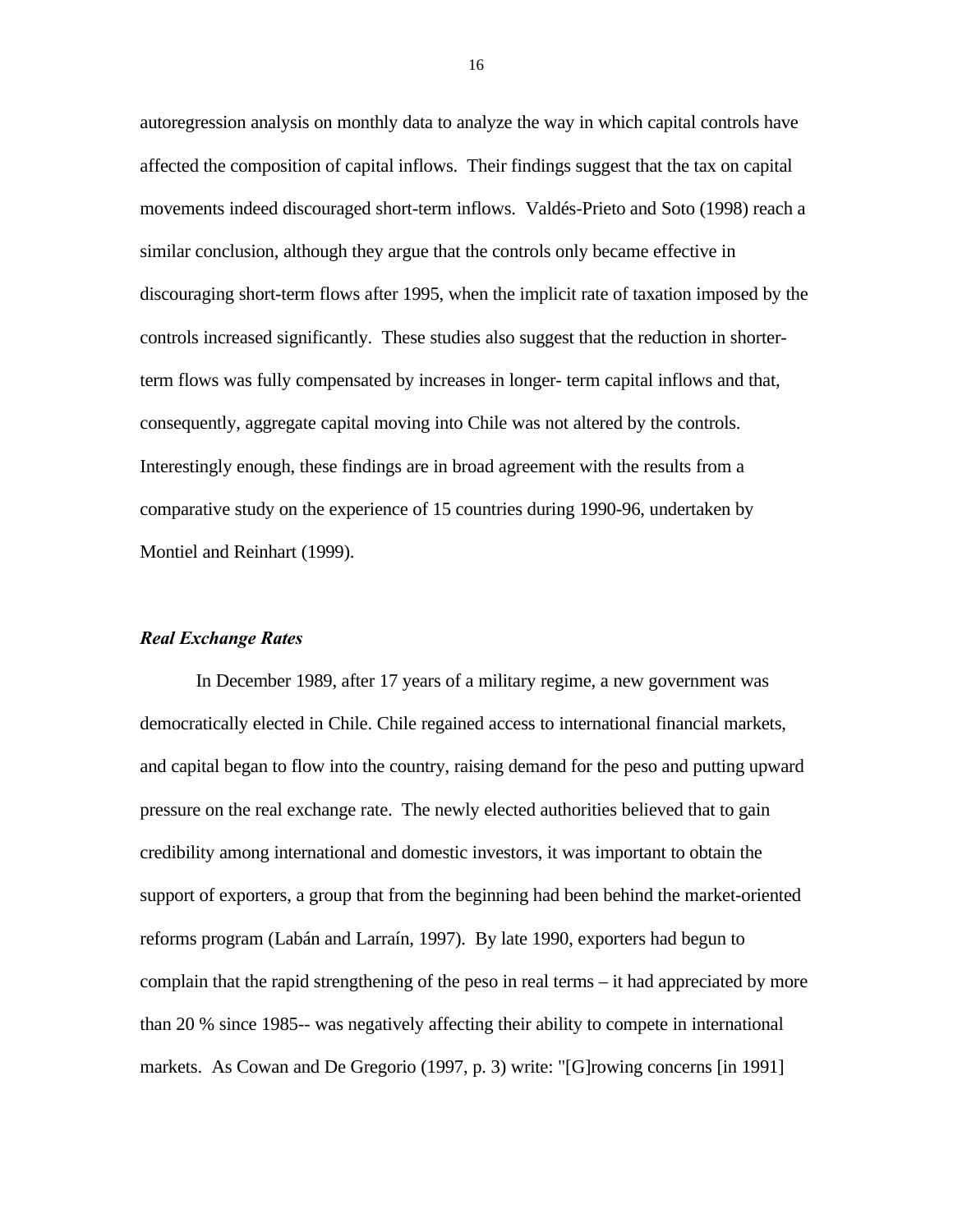autoregression analysis on monthly data to analyze the way in which capital controls have affected the composition of capital inflows. Their findings suggest that the tax on capital movements indeed discouraged short-term inflows. Valdés-Prieto and Soto (1998) reach a similar conclusion, although they argue that the controls only became effective in discouraging short-term flows after 1995, when the implicit rate of taxation imposed by the controls increased significantly. These studies also suggest that the reduction in shorterterm flows was fully compensated by increases in longer- term capital inflows and that, consequently, aggregate capital moving into Chile was not altered by the controls. Interestingly enough, these findings are in broad agreement with the results from a comparative study on the experience of 15 countries during 1990-96, undertaken by Montiel and Reinhart (1999).

### *Real Exchange Rates*

In December 1989, after 17 years of a military regime, a new government was democratically elected in Chile. Chile regained access to international financial markets, and capital began to flow into the country, raising demand for the peso and putting upward pressure on the real exchange rate. The newly elected authorities believed that to gain credibility among international and domestic investors, it was important to obtain the support of exporters, a group that from the beginning had been behind the market-oriented reforms program (Labán and Larraín, 1997). By late 1990, exporters had begun to complain that the rapid strengthening of the peso in real terms – it had appreciated by more than 20 % since 1985-- was negatively affecting their ability to compete in international markets. As Cowan and De Gregorio (1997, p. 3) write: "[G]rowing concerns [in 1991]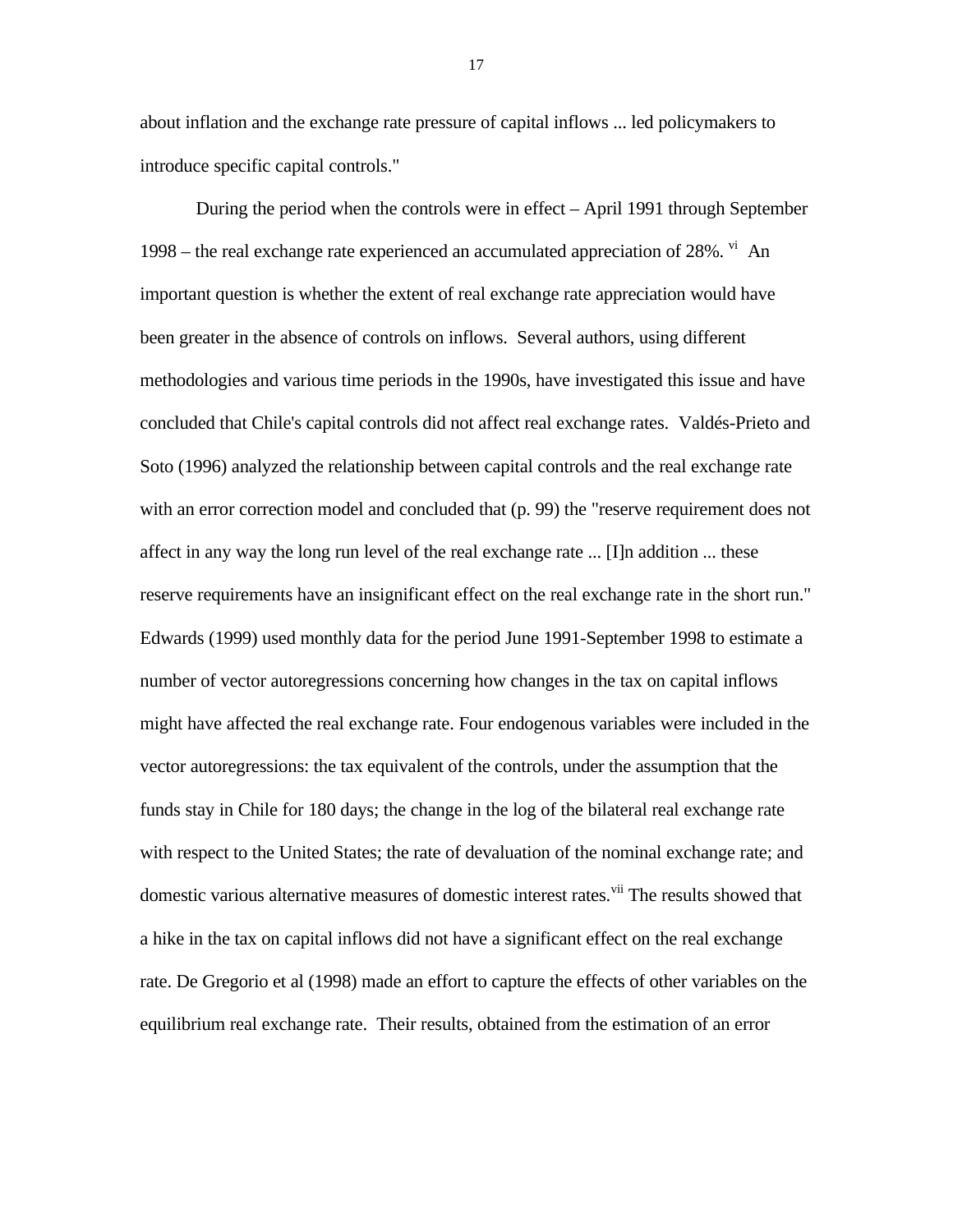about inflation and the exchange rate pressure of capital inflows ... led policymakers to introduce specific capital controls."

During the period when the controls were in effect – April 1991 through September 1998 – the real exchange rate experienced an accumulated appreciation of  $28\%$ . <sup>vi</sup> An important question is whether the extent of real exchange rate appreciation would have been greater in the absence of controls on inflows. Several authors, using different methodologies and various time periods in the 1990s, have investigated this issue and have concluded that Chile's capital controls did not affect real exchange rates. Valdés-Prieto and Soto (1996) analyzed the relationship between capital controls and the real exchange rate with an error correction model and concluded that (p. 99) the "reserve requirement does not affect in any way the long run level of the real exchange rate ... [I]n addition ... these reserve requirements have an insignificant effect on the real exchange rate in the short run." Edwards (1999) used monthly data for the period June 1991-September 1998 to estimate a number of vector autoregressions concerning how changes in the tax on capital inflows might have affected the real exchange rate. Four endogenous variables were included in the vector autoregressions: the tax equivalent of the controls, under the assumption that the funds stay in Chile for 180 days; the change in the log of the bilateral real exchange rate with respect to the United States; the rate of devaluation of the nominal exchange rate; and domestic various alternative measures of domestic interest rates.<sup>vii</sup> The results showed that a hike in the tax on capital inflows did not have a significant effect on the real exchange rate. De Gregorio et al (1998) made an effort to capture the effects of other variables on the equilibrium real exchange rate. Their results, obtained from the estimation of an error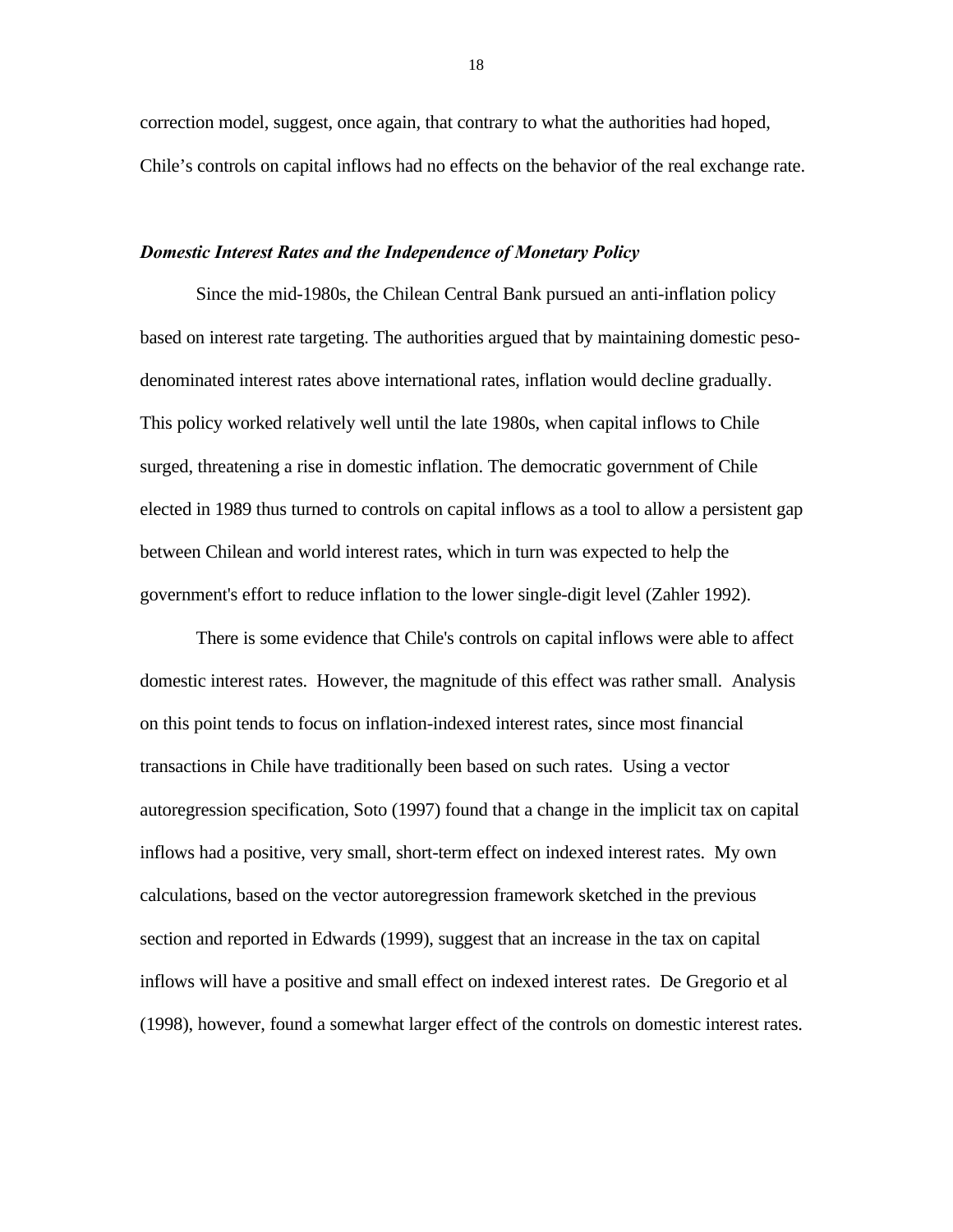correction model, suggest, once again, that contrary to what the authorities had hoped, Chile's controls on capital inflows had no effects on the behavior of the real exchange rate.

### *Domestic Interest Rates and the Independence of Monetary Policy*

Since the mid-1980s, the Chilean Central Bank pursued an anti-inflation policy based on interest rate targeting. The authorities argued that by maintaining domestic pesodenominated interest rates above international rates, inflation would decline gradually. This policy worked relatively well until the late 1980s, when capital inflows to Chile surged, threatening a rise in domestic inflation. The democratic government of Chile elected in 1989 thus turned to controls on capital inflows as a tool to allow a persistent gap between Chilean and world interest rates, which in turn was expected to help the government's effort to reduce inflation to the lower single-digit level (Zahler 1992).

There is some evidence that Chile's controls on capital inflows were able to affect domestic interest rates. However, the magnitude of this effect was rather small. Analysis on this point tends to focus on inflation-indexed interest rates, since most financial transactions in Chile have traditionally been based on such rates. Using a vector autoregression specification, Soto (1997) found that a change in the implicit tax on capital inflows had a positive, very small, short-term effect on indexed interest rates. My own calculations, based on the vector autoregression framework sketched in the previous section and reported in Edwards (1999), suggest that an increase in the tax on capital inflows will have a positive and small effect on indexed interest rates. De Gregorio et al (1998), however, found a somewhat larger effect of the controls on domestic interest rates.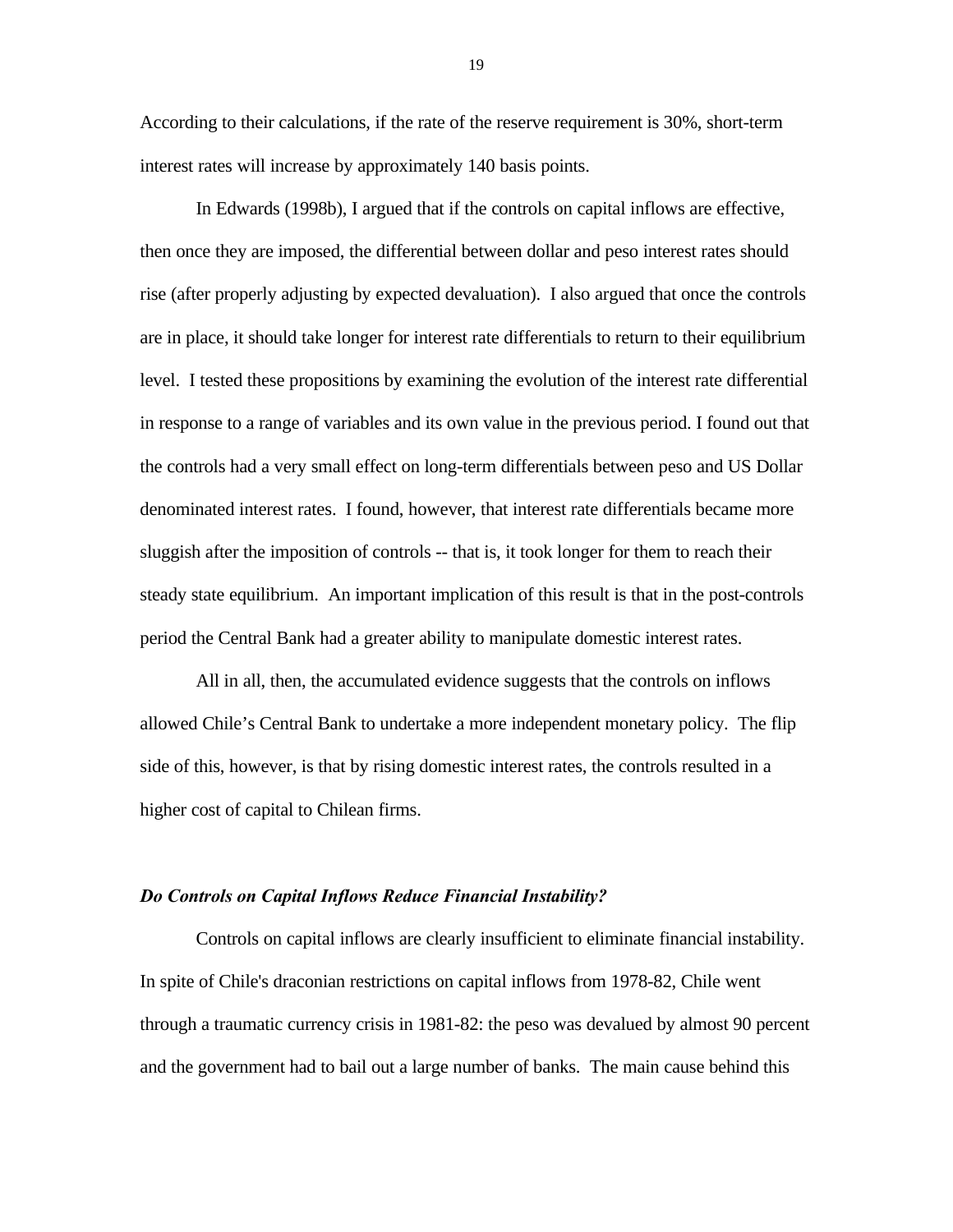According to their calculations, if the rate of the reserve requirement is 30%, short-term interest rates will increase by approximately 140 basis points.

In Edwards (1998b), I argued that if the controls on capital inflows are effective, then once they are imposed, the differential between dollar and peso interest rates should rise (after properly adjusting by expected devaluation). I also argued that once the controls are in place, it should take longer for interest rate differentials to return to their equilibrium level. I tested these propositions by examining the evolution of the interest rate differential in response to a range of variables and its own value in the previous period. I found out that the controls had a very small effect on long-term differentials between peso and US Dollar denominated interest rates. I found, however, that interest rate differentials became more sluggish after the imposition of controls -- that is, it took longer for them to reach their steady state equilibrium. An important implication of this result is that in the post-controls period the Central Bank had a greater ability to manipulate domestic interest rates.

All in all, then, the accumulated evidence suggests that the controls on inflows allowed Chile's Central Bank to undertake a more independent monetary policy. The flip side of this, however, is that by rising domestic interest rates, the controls resulted in a higher cost of capital to Chilean firms.

### *Do Controls on Capital Inflows Reduce Financial Instability?*

Controls on capital inflows are clearly insufficient to eliminate financial instability. In spite of Chile's draconian restrictions on capital inflows from 1978-82, Chile went through a traumatic currency crisis in 1981-82: the peso was devalued by almost 90 percent and the government had to bail out a large number of banks. The main cause behind this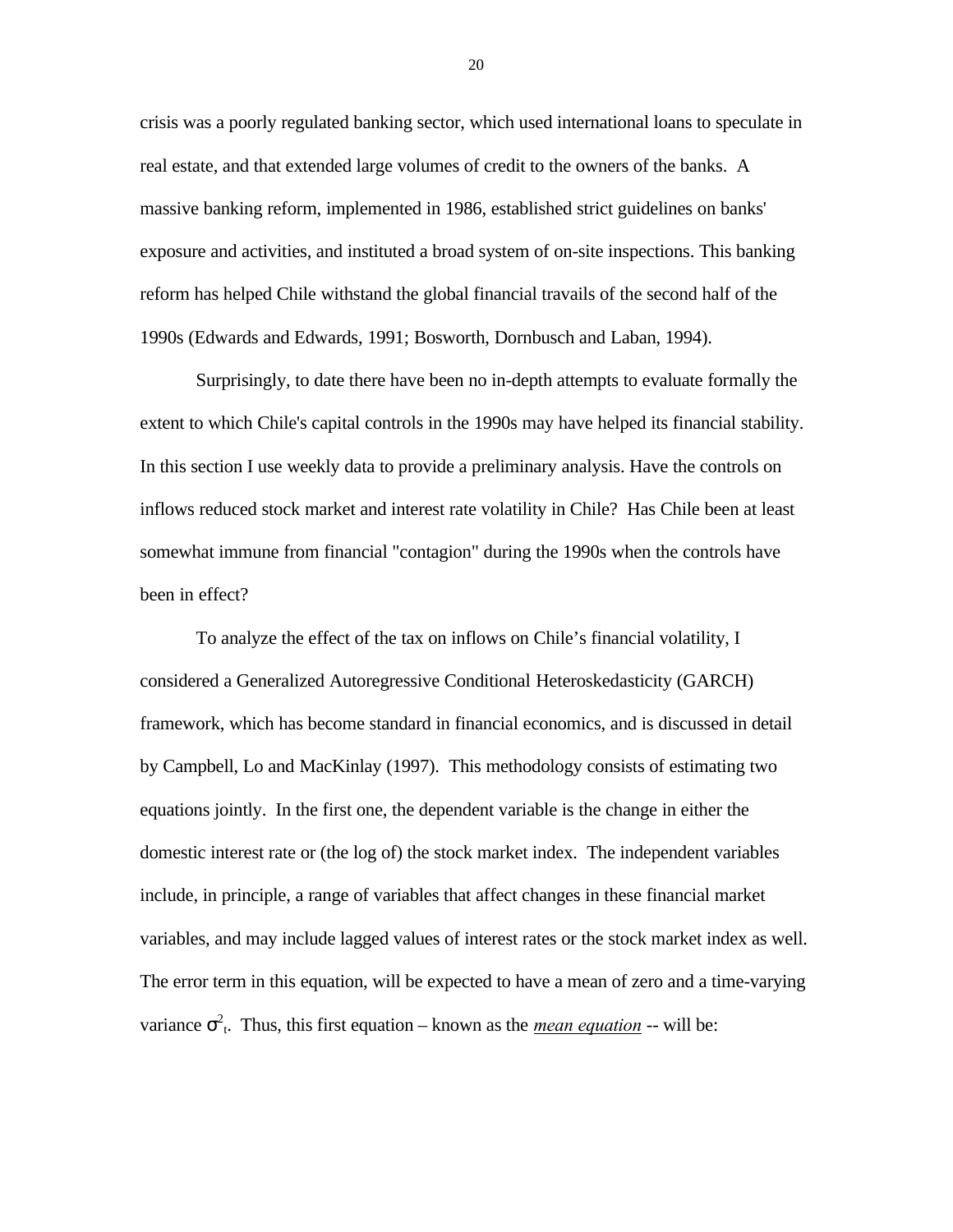crisis was a poorly regulated banking sector, which used international loans to speculate in real estate, and that extended large volumes of credit to the owners of the banks. A massive banking reform, implemented in 1986, established strict guidelines on banks' exposure and activities, and instituted a broad system of on-site inspections. This banking reform has helped Chile withstand the global financial travails of the second half of the 1990s (Edwards and Edwards, 1991; Bosworth, Dornbusch and Laban, 1994).

Surprisingly, to date there have been no in-depth attempts to evaluate formally the extent to which Chile's capital controls in the 1990s may have helped its financial stability. In this section I use weekly data to provide a preliminary analysis. Have the controls on inflows reduced stock market and interest rate volatility in Chile? Has Chile been at least somewhat immune from financial "contagion" during the 1990s when the controls have been in effect?

To analyze the effect of the tax on inflows on Chile's financial volatility, I considered a Generalized Autoregressive Conditional Heteroskedasticity (GARCH) framework, which has become standard in financial economics, and is discussed in detail by Campbell, Lo and MacKinlay (1997). This methodology consists of estimating two equations jointly. In the first one, the dependent variable is the change in either the domestic interest rate or (the log of) the stock market index. The independent variables include, in principle, a range of variables that affect changes in these financial market variables, and may include lagged values of interest rates or the stock market index as well. The error term in this equation, will be expected to have a mean of zero and a time-varying variance  $\sigma^2$ <sup>t</sup>. Thus, this first equation – known as the *mean equation* -- will be: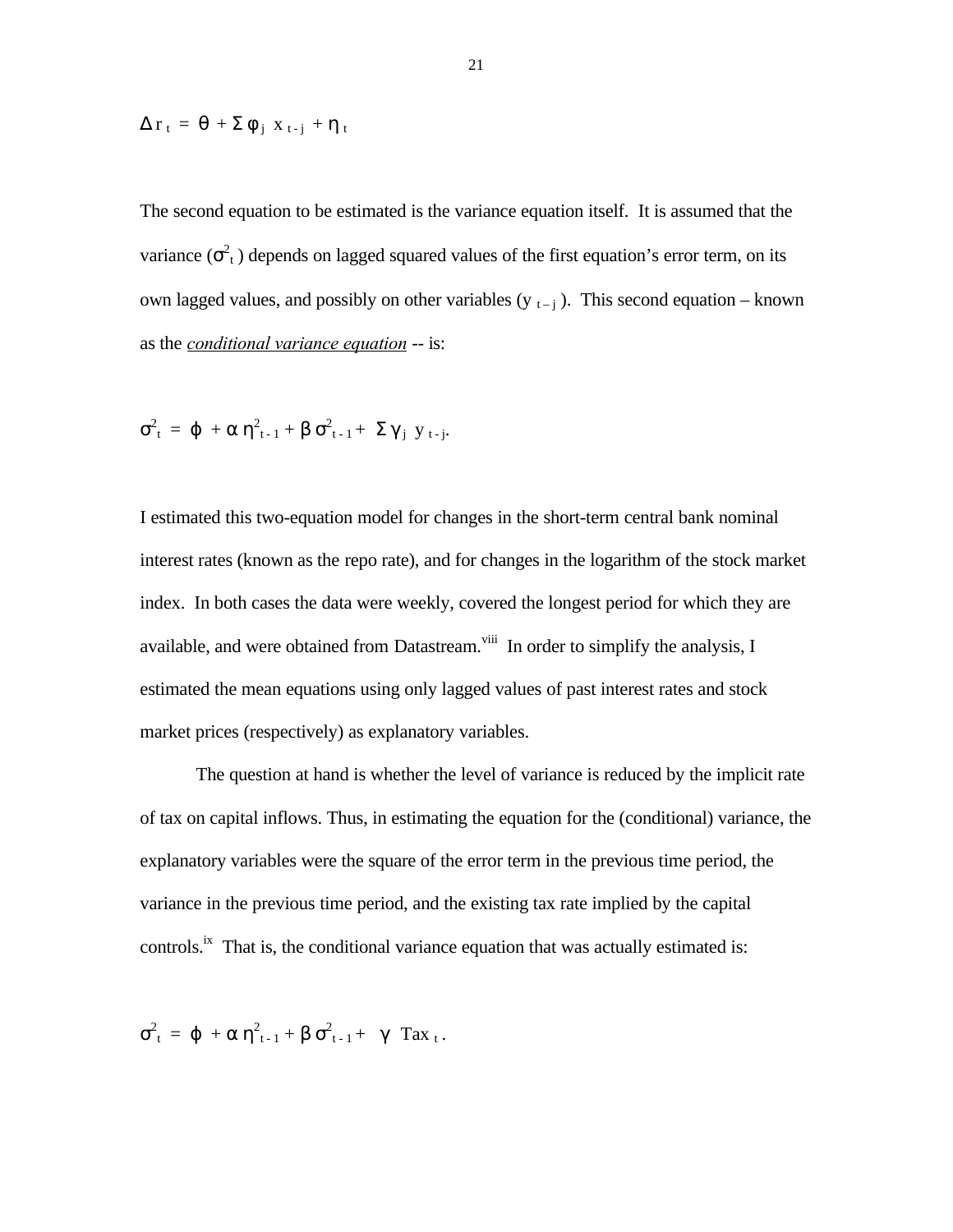$$
\Delta r_{t} = \theta + \Sigma \phi_{j} x_{t-j} + \eta_{t}
$$

The second equation to be estimated is the variance equation itself. It is assumed that the variance  $(\sigma^2_t)$  depends on lagged squared values of the first equation's error term, on its own lagged values, and possibly on other variables (y  $_{t-j}$ ). This second equation – known as the *conditional variance equation* -- is:

$$
\sigma^2_{\ t} \ = \ \phi \ + \alpha \ \eta^2_{\ t^{\text{--}1}} + \beta \ \sigma^2_{\ t^{\text{--}1}} + \ \Sigma \ \gamma_{\,j} \ \ y_{\,t^{\text{--}j}}.
$$

I estimated this two-equation model for changes in the short-term central bank nominal interest rates (known as the repo rate), and for changes in the logarithm of the stock market index. In both cases the data were weekly, covered the longest period for which they are available, and were obtained from Datastream.<sup>viii</sup> In order to simplify the analysis, I estimated the mean equations using only lagged values of past interest rates and stock market prices (respectively) as explanatory variables.

The question at hand is whether the level of variance is reduced by the implicit rate of tax on capital inflows. Thus, in estimating the equation for the (conditional) variance, the explanatory variables were the square of the error term in the previous time period, the variance in the previous time period, and the existing tax rate implied by the capital controls.<sup>ix</sup> That is, the conditional variance equation that was actually estimated is:

$$
\sigma_{t}^{2} = \varphi + \alpha \eta_{t-1}^{2} + \beta \sigma_{t-1}^{2} + \gamma \operatorname{Tax}_{t}.
$$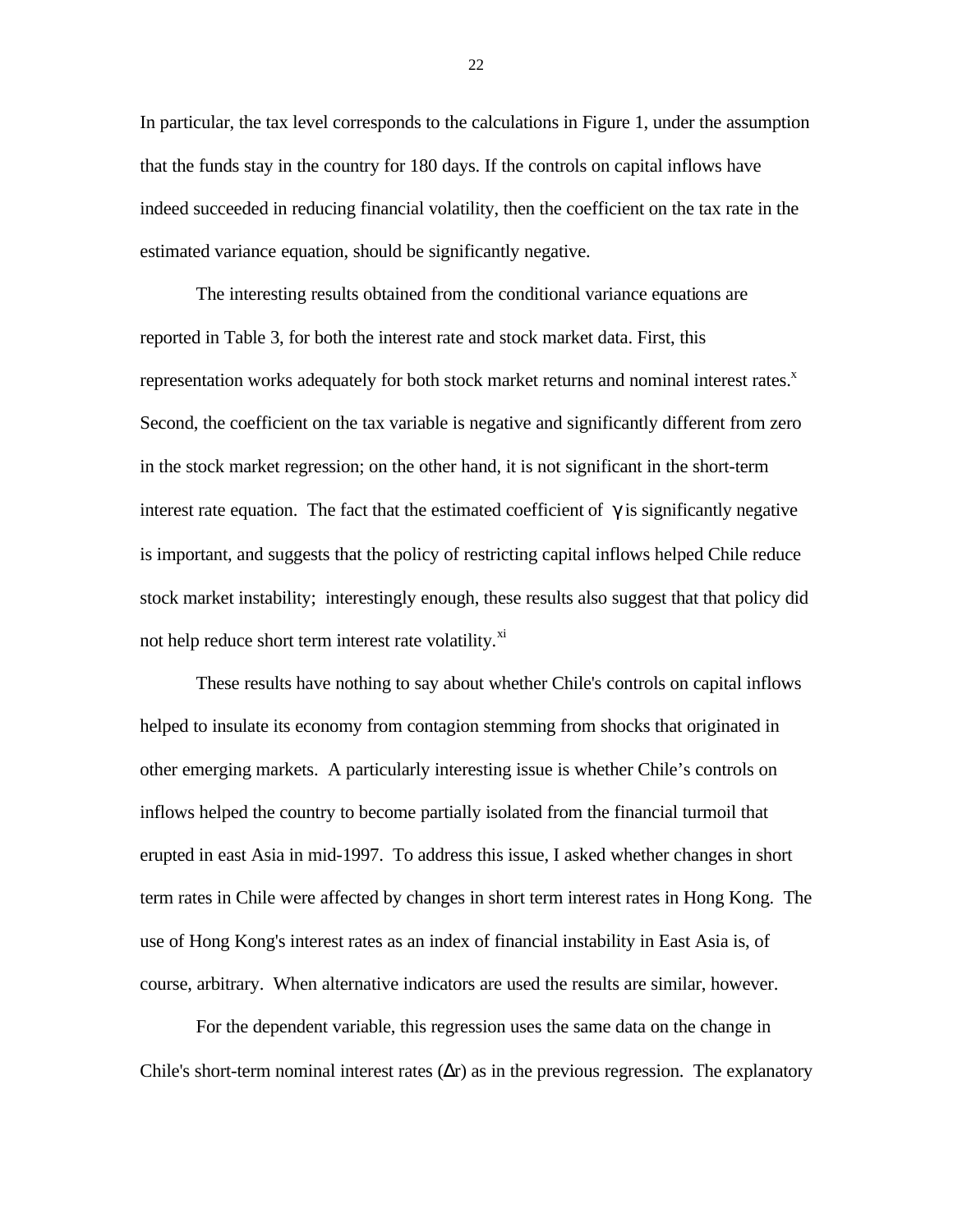In particular, the tax level corresponds to the calculations in Figure 1, under the assumption that the funds stay in the country for 180 days. If the controls on capital inflows have indeed succeeded in reducing financial volatility, then the coefficient on the tax rate in the estimated variance equation, should be significantly negative.

The interesting results obtained from the conditional variance equations are reported in Table 3, for both the interest rate and stock market data. First, this representation works adequately for both stock market returns and nominal interest rates.<sup>x</sup> Second, the coefficient on the tax variable is negative and significantly different from zero in the stock market regression; on the other hand, it is not significant in the short-term interest rate equation. The fact that the estimated coefficient of  $\gamma$  is significantly negative is important, and suggests that the policy of restricting capital inflows helped Chile reduce stock market instability; interestingly enough, these results also suggest that that policy did not help reduce short term interest rate volatility.<sup>xi</sup>

These results have nothing to say about whether Chile's controls on capital inflows helped to insulate its economy from contagion stemming from shocks that originated in other emerging markets. A particularly interesting issue is whether Chile's controls on inflows helped the country to become partially isolated from the financial turmoil that erupted in east Asia in mid-1997. To address this issue, I asked whether changes in short term rates in Chile were affected by changes in short term interest rates in Hong Kong. The use of Hong Kong's interest rates as an index of financial instability in East Asia is, of course, arbitrary. When alternative indicators are used the results are similar, however.

For the dependent variable, this regression uses the same data on the change in Chile's short-term nominal interest rates  $(\Delta r)$  as in the previous regression. The explanatory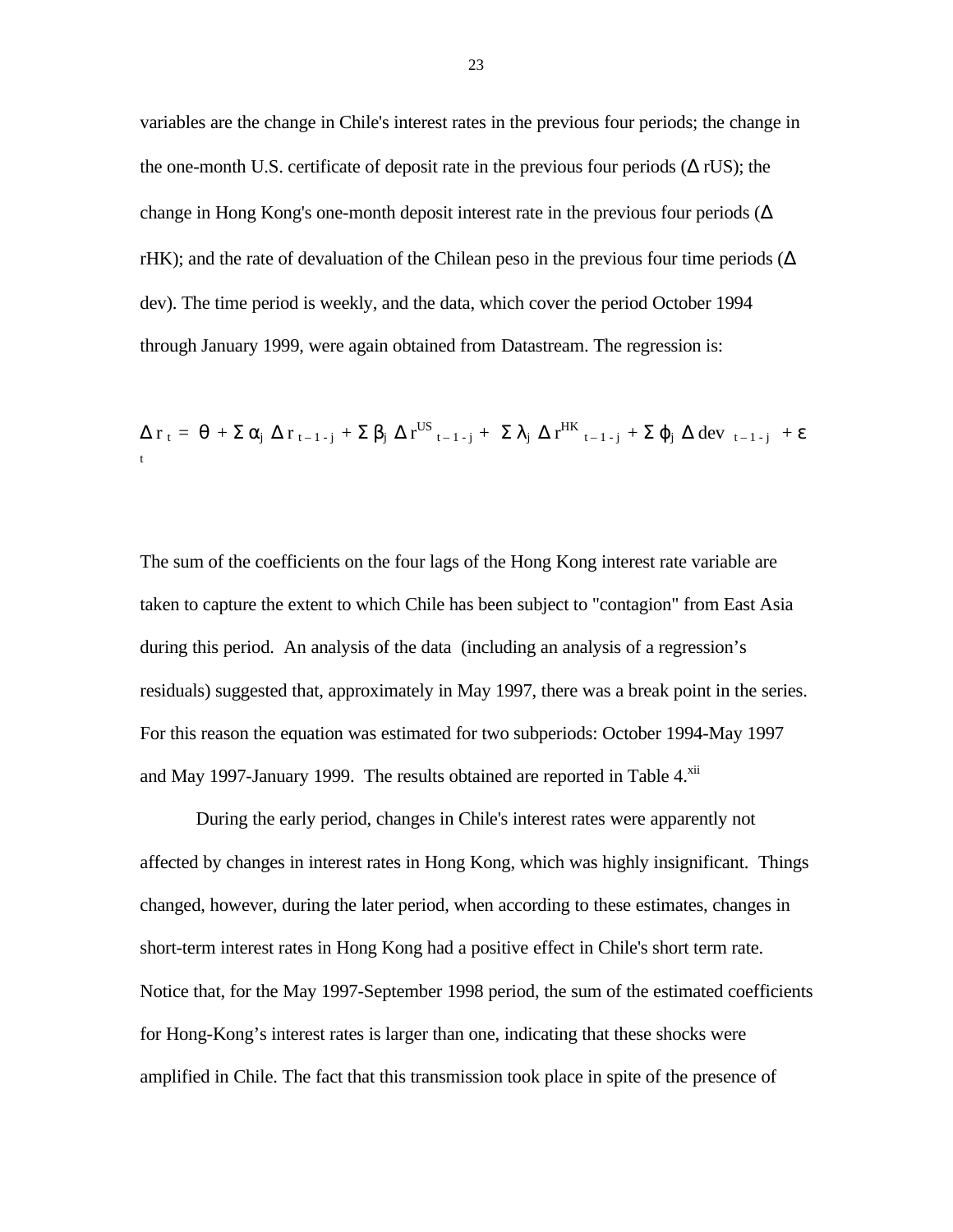variables are the change in Chile's interest rates in the previous four periods; the change in the one-month U.S. certificate of deposit rate in the previous four periods  $(Δ rUS)$ ; the change in Hong Kong's one-month deposit interest rate in the previous four periods ( $\Delta$ ) rHK); and the rate of devaluation of the Chilean peso in the previous four time periods ( $\Delta$ dev). The time period is weekly, and the data, which cover the period October 1994 through January 1999, were again obtained from Datastream. The regression is:

$$
\Delta r_t = \theta + \Sigma \alpha_j \Delta r_{t-1-j} + \Sigma \beta_j \Delta r^{US}_{t-1-j} + \Sigma \lambda_j \Delta r^{HK}_{t-1-j} + \Sigma \phi_j \Delta dev_{t-1-j} + \epsilon
$$

The sum of the coefficients on the four lags of the Hong Kong interest rate variable are taken to capture the extent to which Chile has been subject to "contagion" from East Asia during this period. An analysis of the data (including an analysis of a regression's residuals) suggested that, approximately in May 1997, there was a break point in the series. For this reason the equation was estimated for two subperiods: October 1994-May 1997 and May 1997-January 1999. The results obtained are reported in Table 4.<sup>xii</sup>

During the early period, changes in Chile's interest rates were apparently not affected by changes in interest rates in Hong Kong, which was highly insignificant. Things changed, however, during the later period, when according to these estimates, changes in short-term interest rates in Hong Kong had a positive effect in Chile's short term rate. Notice that, for the May 1997-September 1998 period, the sum of the estimated coefficients for Hong-Kong's interest rates is larger than one, indicating that these shocks were amplified in Chile. The fact that this transmission took place in spite of the presence of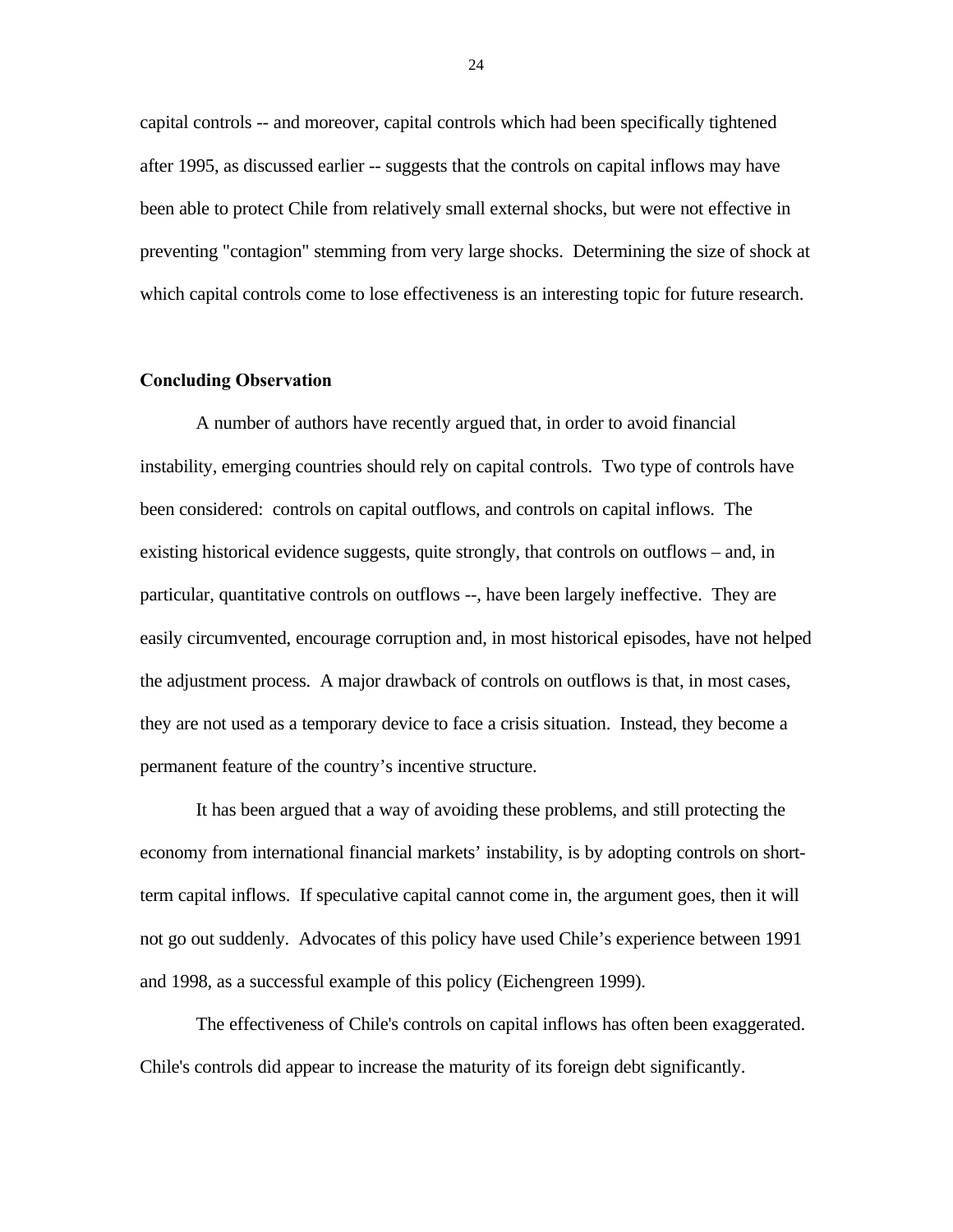capital controls -- and moreover, capital controls which had been specifically tightened after 1995, as discussed earlier -- suggests that the controls on capital inflows may have been able to protect Chile from relatively small external shocks, but were not effective in preventing "contagion" stemming from very large shocks. Determining the size of shock at which capital controls come to lose effectiveness is an interesting topic for future research.

### **Concluding Observation**

A number of authors have recently argued that, in order to avoid financial instability, emerging countries should rely on capital controls. Two type of controls have been considered: controls on capital outflows, and controls on capital inflows. The existing historical evidence suggests, quite strongly, that controls on outflows – and, in particular, quantitative controls on outflows --, have been largely ineffective. They are easily circumvented, encourage corruption and, in most historical episodes, have not helped the adjustment process. A major drawback of controls on outflows is that, in most cases, they are not used as a temporary device to face a crisis situation. Instead, they become a permanent feature of the country's incentive structure.

It has been argued that a way of avoiding these problems, and still protecting the economy from international financial markets' instability, is by adopting controls on shortterm capital inflows. If speculative capital cannot come in, the argument goes, then it will not go out suddenly. Advocates of this policy have used Chile's experience between 1991 and 1998, as a successful example of this policy (Eichengreen 1999).

The effectiveness of Chile's controls on capital inflows has often been exaggerated. Chile's controls did appear to increase the maturity of its foreign debt significantly.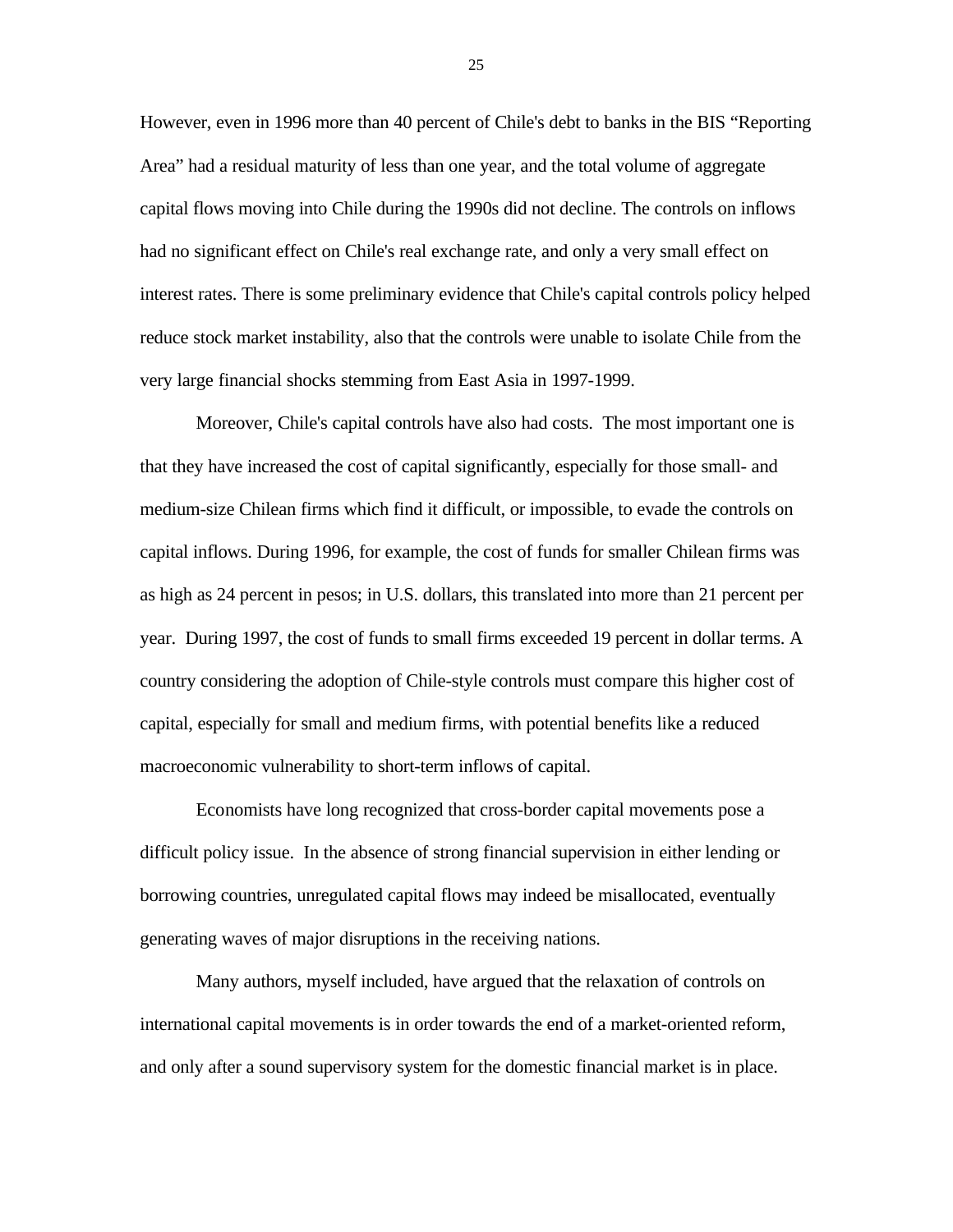However, even in 1996 more than 40 percent of Chile's debt to banks in the BIS "Reporting Area" had a residual maturity of less than one year, and the total volume of aggregate capital flows moving into Chile during the 1990s did not decline. The controls on inflows had no significant effect on Chile's real exchange rate, and only a very small effect on interest rates. There is some preliminary evidence that Chile's capital controls policy helped reduce stock market instability, also that the controls were unable to isolate Chile from the very large financial shocks stemming from East Asia in 1997-1999.

Moreover, Chile's capital controls have also had costs. The most important one is that they have increased the cost of capital significantly, especially for those small- and medium-size Chilean firms which find it difficult, or impossible, to evade the controls on capital inflows. During 1996, for example, the cost of funds for smaller Chilean firms was as high as 24 percent in pesos; in U.S. dollars, this translated into more than 21 percent per year. During 1997, the cost of funds to small firms exceeded 19 percent in dollar terms. A country considering the adoption of Chile-style controls must compare this higher cost of capital, especially for small and medium firms, with potential benefits like a reduced macroeconomic vulnerability to short-term inflows of capital.

Economists have long recognized that cross-border capital movements pose a difficult policy issue. In the absence of strong financial supervision in either lending or borrowing countries, unregulated capital flows may indeed be misallocated, eventually generating waves of major disruptions in the receiving nations.

Many authors, myself included, have argued that the relaxation of controls on international capital movements is in order towards the end of a market-oriented reform, and only after a sound supervisory system for the domestic financial market is in place.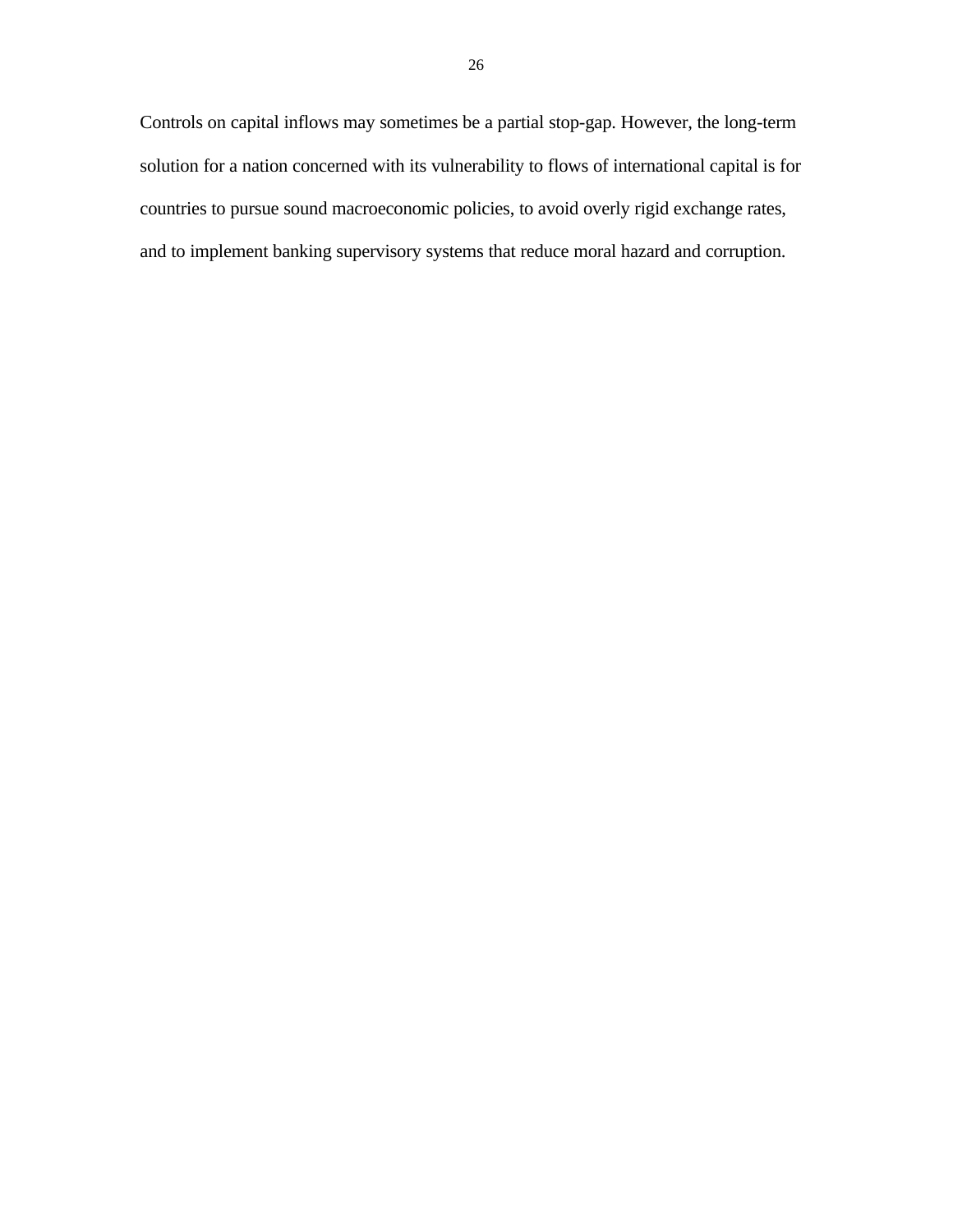Controls on capital inflows may sometimes be a partial stop-gap. However, the long-term solution for a nation concerned with its vulnerability to flows of international capital is for countries to pursue sound macroeconomic policies, to avoid overly rigid exchange rates, and to implement banking supervisory systems that reduce moral hazard and corruption.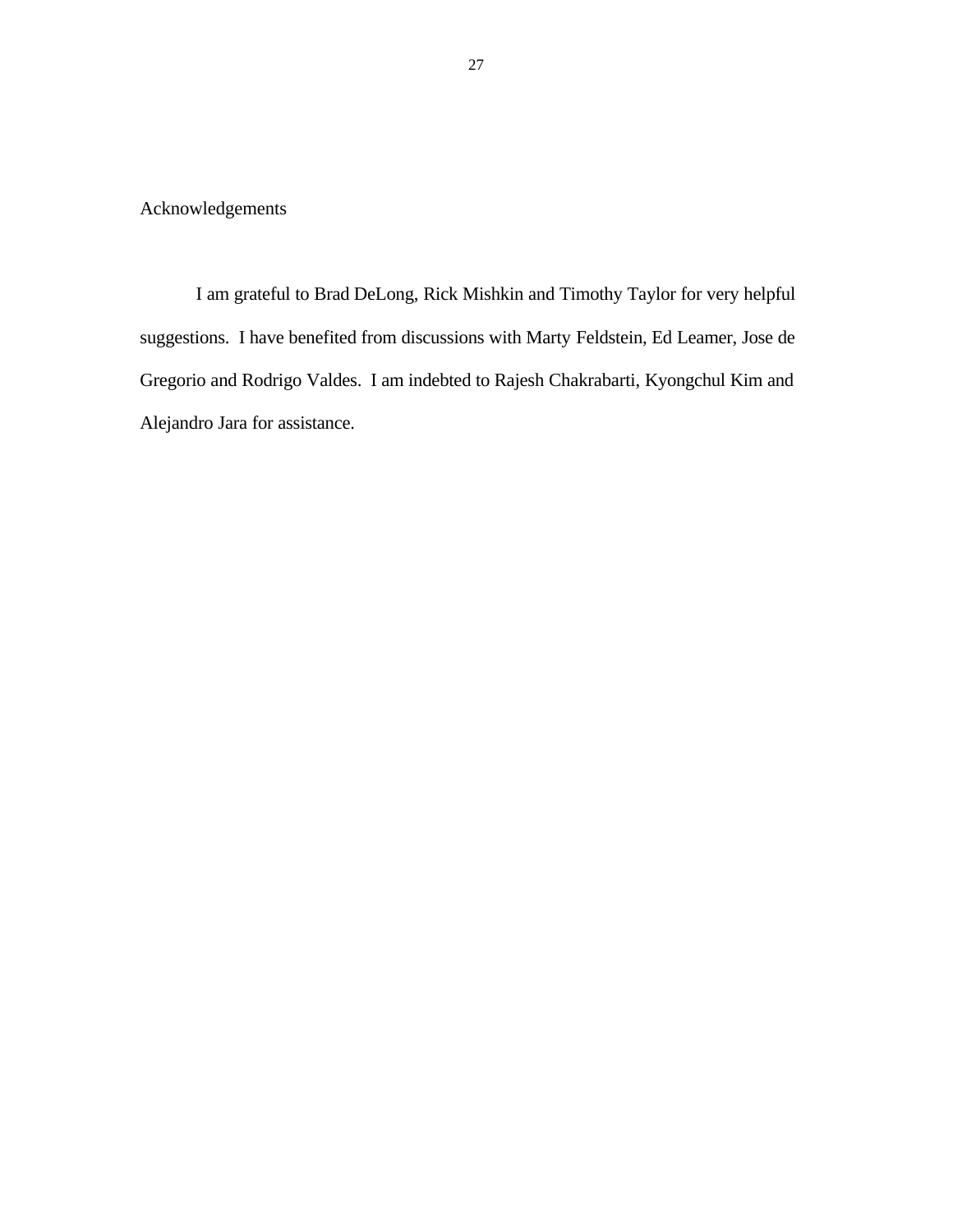Acknowledgements

I am grateful to Brad DeLong, Rick Mishkin and Timothy Taylor for very helpful suggestions. I have benefited from discussions with Marty Feldstein, Ed Leamer, Jose de Gregorio and Rodrigo Valdes. I am indebted to Rajesh Chakrabarti, Kyongchul Kim and Alejandro Jara for assistance.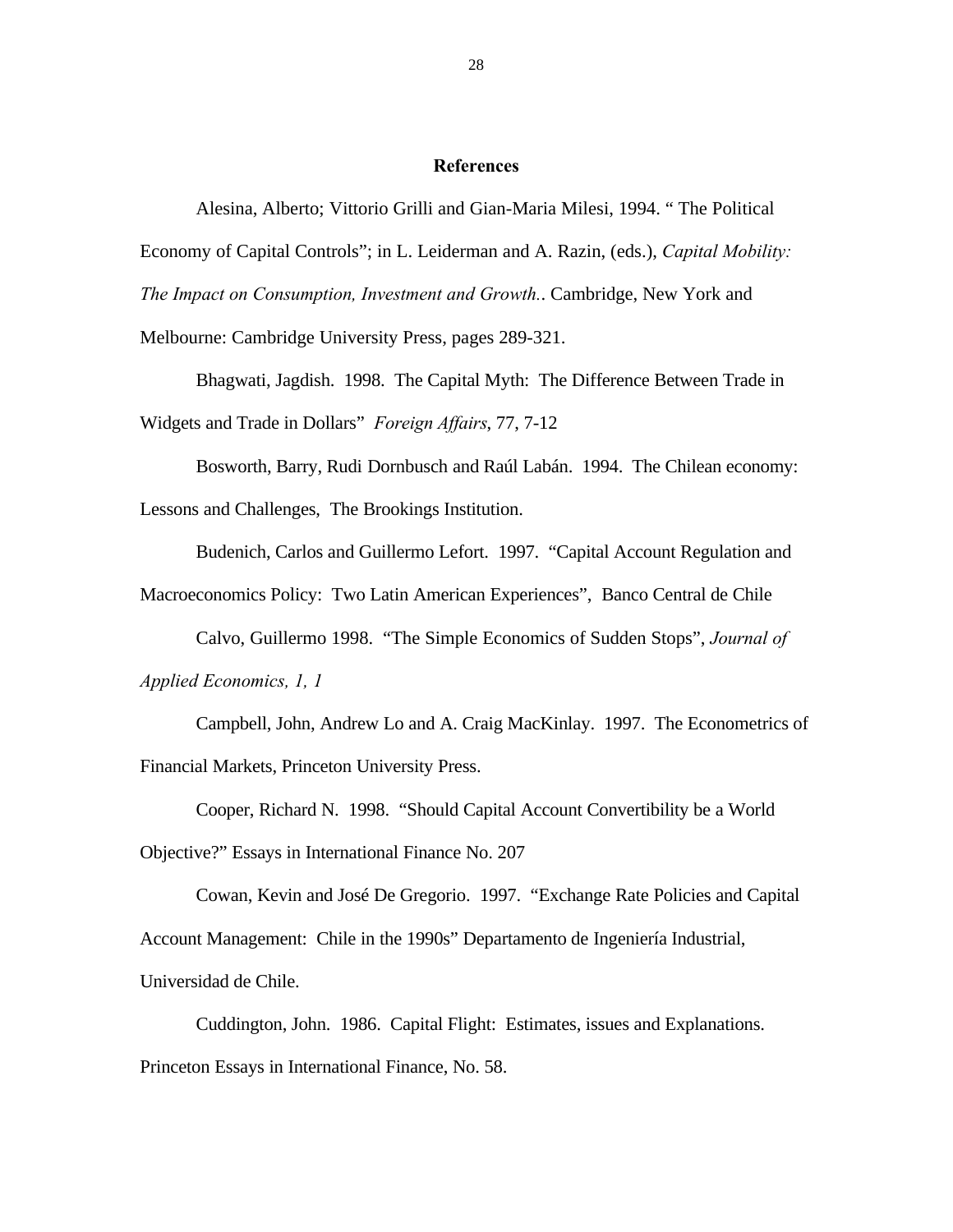#### **References**

Alesina, Alberto; Vittorio Grilli and Gian-Maria Milesi, 1994. " The Political Economy of Capital Controls"; in L. Leiderman and A. Razin, (eds.), *Capital Mobility: The Impact on Consumption, Investment and Growth.*. Cambridge, New York and

Melbourne: Cambridge University Press, pages 289-321.

Bhagwati, Jagdish. 1998. The Capital Myth: The Difference Between Trade in Widgets and Trade in Dollars" *Foreign Affairs*, 77, 7-12

Bosworth, Barry, Rudi Dornbusch and Raúl Labán. 1994. The Chilean economy: Lessons and Challenges, The Brookings Institution.

Budenich, Carlos and Guillermo Lefort. 1997. "Capital Account Regulation and

Macroeconomics Policy: Two Latin American Experiences", Banco Central de Chile

Calvo, Guillermo 1998. "The Simple Economics of Sudden Stops", *Journal of Applied Economics, 1, 1*

Campbell, John, Andrew Lo and A. Craig MacKinlay. 1997. The Econometrics of Financial Markets, Princeton University Press.

Cooper, Richard N. 1998. "Should Capital Account Convertibility be a World Objective?" Essays in International Finance No. 207

Cowan, Kevin and José De Gregorio. 1997. "Exchange Rate Policies and Capital Account Management: Chile in the 1990s" Departamento de Ingeniería Industrial, Universidad de Chile.

Cuddington, John. 1986. Capital Flight: Estimates, issues and Explanations. Princeton Essays in International Finance, No. 58.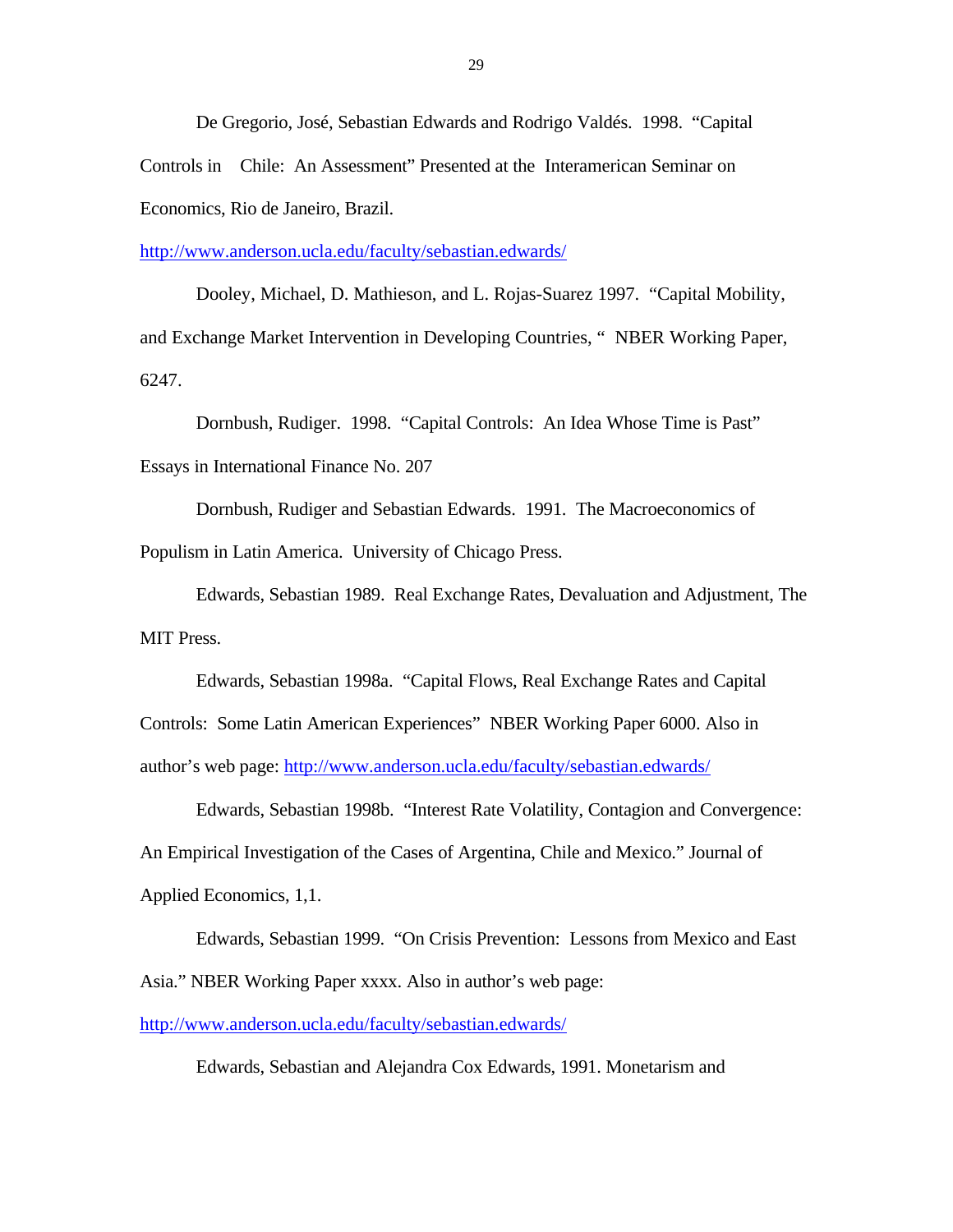De Gregorio, José, Sebastian Edwards and Rodrigo Valdés. 1998. "Capital Controls in Chile: An Assessment" Presented at the Interamerican Seminar on Economics, Rio de Janeiro, Brazil.

http://www.anderson.ucla.edu/faculty/sebastian.edwards/

Dooley, Michael, D. Mathieson, and L. Rojas-Suarez 1997. "Capital Mobility, and Exchange Market Intervention in Developing Countries, " NBER Working Paper, 6247.

Dornbush, Rudiger. 1998. "Capital Controls: An Idea Whose Time is Past" Essays in International Finance No. 207

Dornbush, Rudiger and Sebastian Edwards. 1991. The Macroeconomics of Populism in Latin America. University of Chicago Press.

Edwards, Sebastian 1989. Real Exchange Rates, Devaluation and Adjustment, The MIT Press.

Edwards, Sebastian 1998a. "Capital Flows, Real Exchange Rates and Capital Controls: Some Latin American Experiences" NBER Working Paper 6000. Also in author's web page: http://www.anderson.ucla.edu/faculty/sebastian.edwards/

Edwards, Sebastian 1998b. "Interest Rate Volatility, Contagion and Convergence: An Empirical Investigation of the Cases of Argentina, Chile and Mexico." Journal of Applied Economics, 1,1.

Edwards, Sebastian 1999. "On Crisis Prevention: Lessons from Mexico and East Asia." NBER Working Paper xxxx. Also in author's web page:

http://www.anderson.ucla.edu/faculty/sebastian.edwards/

Edwards, Sebastian and Alejandra Cox Edwards, 1991. Monetarism and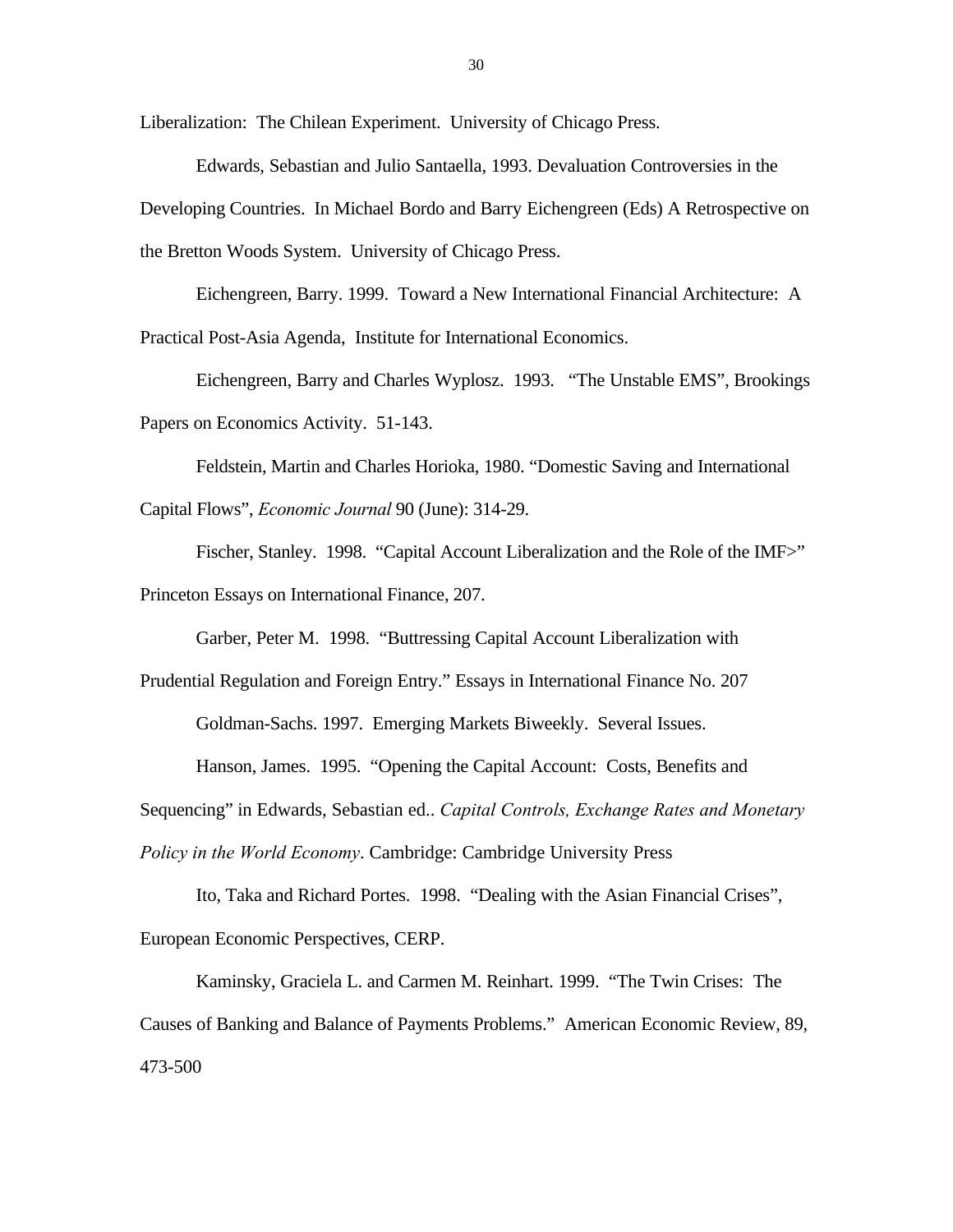Liberalization: The Chilean Experiment. University of Chicago Press.

Edwards, Sebastian and Julio Santaella, 1993. Devaluation Controversies in the Developing Countries. In Michael Bordo and Barry Eichengreen (Eds) A Retrospective on the Bretton Woods System. University of Chicago Press.

Eichengreen, Barry. 1999. Toward a New International Financial Architecture: A Practical Post-Asia Agenda, Institute for International Economics.

Eichengreen, Barry and Charles Wyplosz. 1993. "The Unstable EMS", Brookings Papers on Economics Activity. 51-143.

Feldstein, Martin and Charles Horioka, 1980. "Domestic Saving and International Capital Flows", *Economic Journal* 90 (June): 314-29.

Fischer, Stanley. 1998. "Capital Account Liberalization and the Role of the IMF>" Princeton Essays on International Finance, 207.

Garber, Peter M. 1998. "Buttressing Capital Account Liberalization with

Prudential Regulation and Foreign Entry." Essays in International Finance No. 207

Goldman-Sachs. 1997. Emerging Markets Biweekly. Several Issues.

Hanson, James. 1995. "Opening the Capital Account: Costs, Benefits and

Sequencing" in Edwards, Sebastian ed.. *Capital Controls, Exchange Rates and Monetary*

*Policy in the World Economy*. Cambridge: Cambridge University Press

Ito, Taka and Richard Portes. 1998. "Dealing with the Asian Financial Crises", European Economic Perspectives, CERP.

Kaminsky, Graciela L. and Carmen M. Reinhart. 1999. "The Twin Crises: The Causes of Banking and Balance of Payments Problems." American Economic Review, 89, 473-500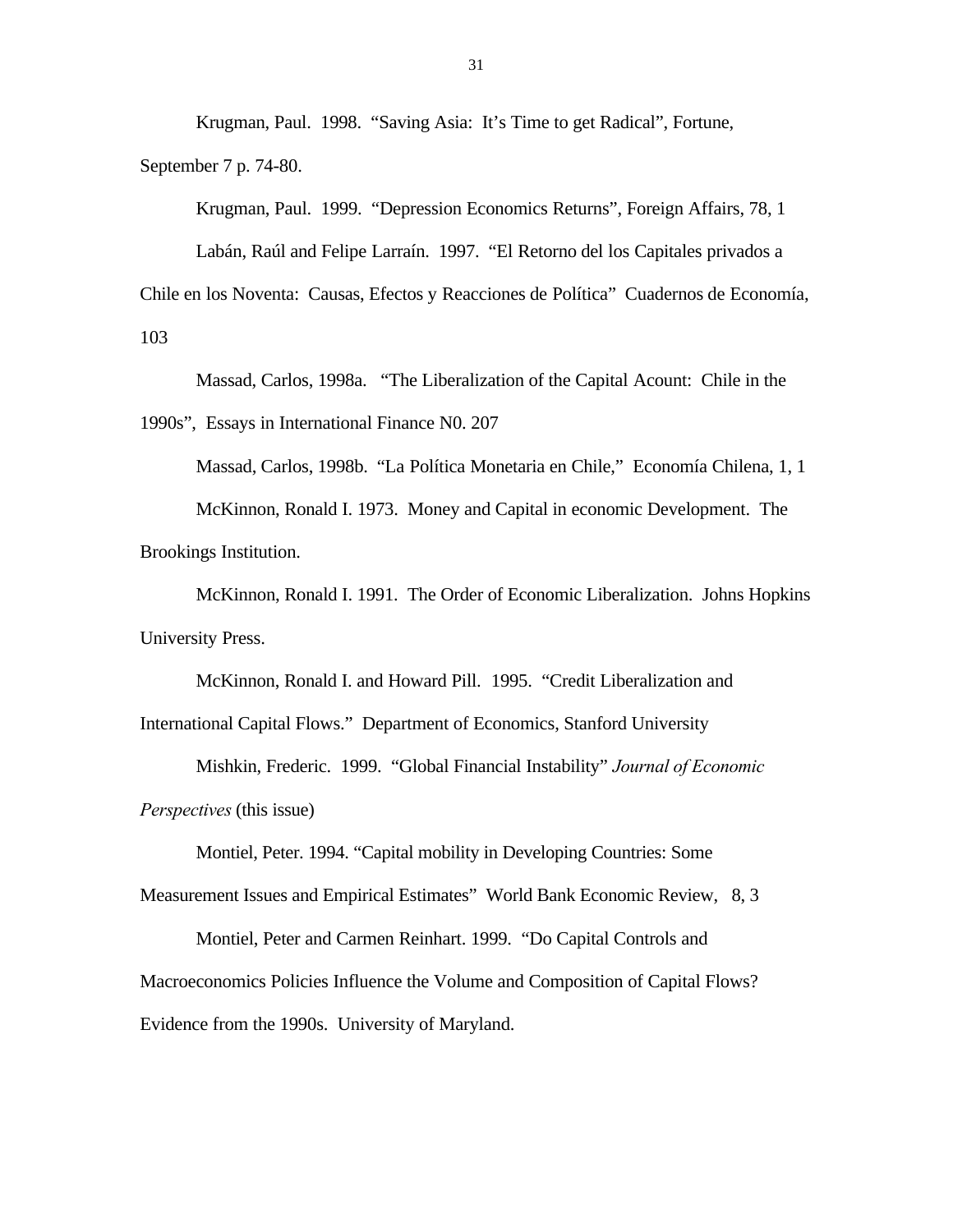Krugman, Paul. 1998. "Saving Asia: It's Time to get Radical", Fortune, September 7 p. 74-80.

Krugman, Paul. 1999. "Depression Economics Returns", Foreign Affairs, 78, 1 Labán, Raúl and Felipe Larraín. 1997. "El Retorno del los Capitales privados a Chile en los Noventa: Causas, Efectos y Reacciones de Política" Cuadernos de Economía, 103

Massad, Carlos, 1998a. "The Liberalization of the Capital Acount: Chile in the 1990s", Essays in International Finance N0. 207

Massad, Carlos, 1998b. "La Política Monetaria en Chile," Economía Chilena, 1, 1

McKinnon, Ronald I. 1973. Money and Capital in economic Development. The Brookings Institution.

McKinnon, Ronald I. 1991. The Order of Economic Liberalization. Johns Hopkins University Press.

McKinnon, Ronald I. and Howard Pill. 1995. "Credit Liberalization and International Capital Flows." Department of Economics, Stanford University

Mishkin, Frederic. 1999. "Global Financial Instability" *Journal of Economic Perspectives* (this issue)

Montiel, Peter. 1994. "Capital mobility in Developing Countries: Some

Measurement Issues and Empirical Estimates" World Bank Economic Review, 8, 3

Montiel, Peter and Carmen Reinhart. 1999. "Do Capital Controls and Macroeconomics Policies Influence the Volume and Composition of Capital Flows? Evidence from the 1990s. University of Maryland.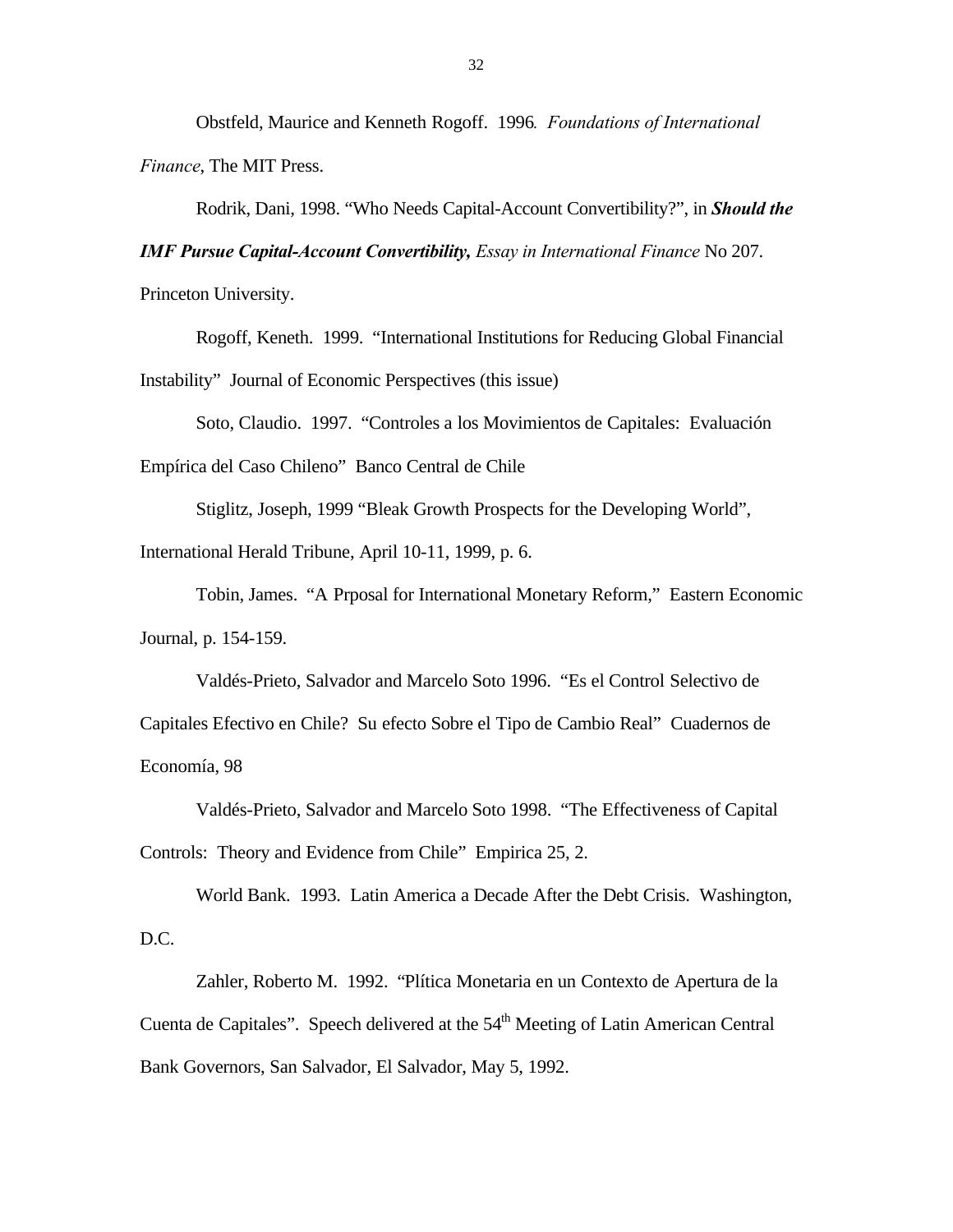Obstfeld, Maurice and Kenneth Rogoff. 1996*. Foundations of International Finance*, The MIT Press.

Rodrik, Dani, 1998. "Who Needs Capital-Account Convertibility?", in *Should the*

*IMF Pursue Capital-Account Convertibility, Essay in International Finance* No 207.

Princeton University.

Rogoff, Keneth. 1999. "International Institutions for Reducing Global Financial Instability" Journal of Economic Perspectives (this issue)

Soto, Claudio. 1997. "Controles a los Movimientos de Capitales: Evaluación Empírica del Caso Chileno" Banco Central de Chile

Stiglitz, Joseph, 1999 "Bleak Growth Prospects for the Developing World",

International Herald Tribune, April 10-11, 1999, p. 6.

Tobin, James. "A Prposal for International Monetary Reform," Eastern Economic Journal, p. 154-159.

Valdés-Prieto, Salvador and Marcelo Soto 1996. "Es el Control Selectivo de Capitales Efectivo en Chile? Su efecto Sobre el Tipo de Cambio Real" Cuadernos de Economía, 98

Valdés-Prieto, Salvador and Marcelo Soto 1998. "The Effectiveness of Capital Controls: Theory and Evidence from Chile" Empirica 25, 2.

World Bank. 1993. Latin America a Decade After the Debt Crisis. Washington, D.C.

Zahler, Roberto M. 1992. "Plítica Monetaria en un Contexto de Apertura de la Cuenta de Capitales". Speech delivered at the 54<sup>th</sup> Meeting of Latin American Central Bank Governors, San Salvador, El Salvador, May 5, 1992.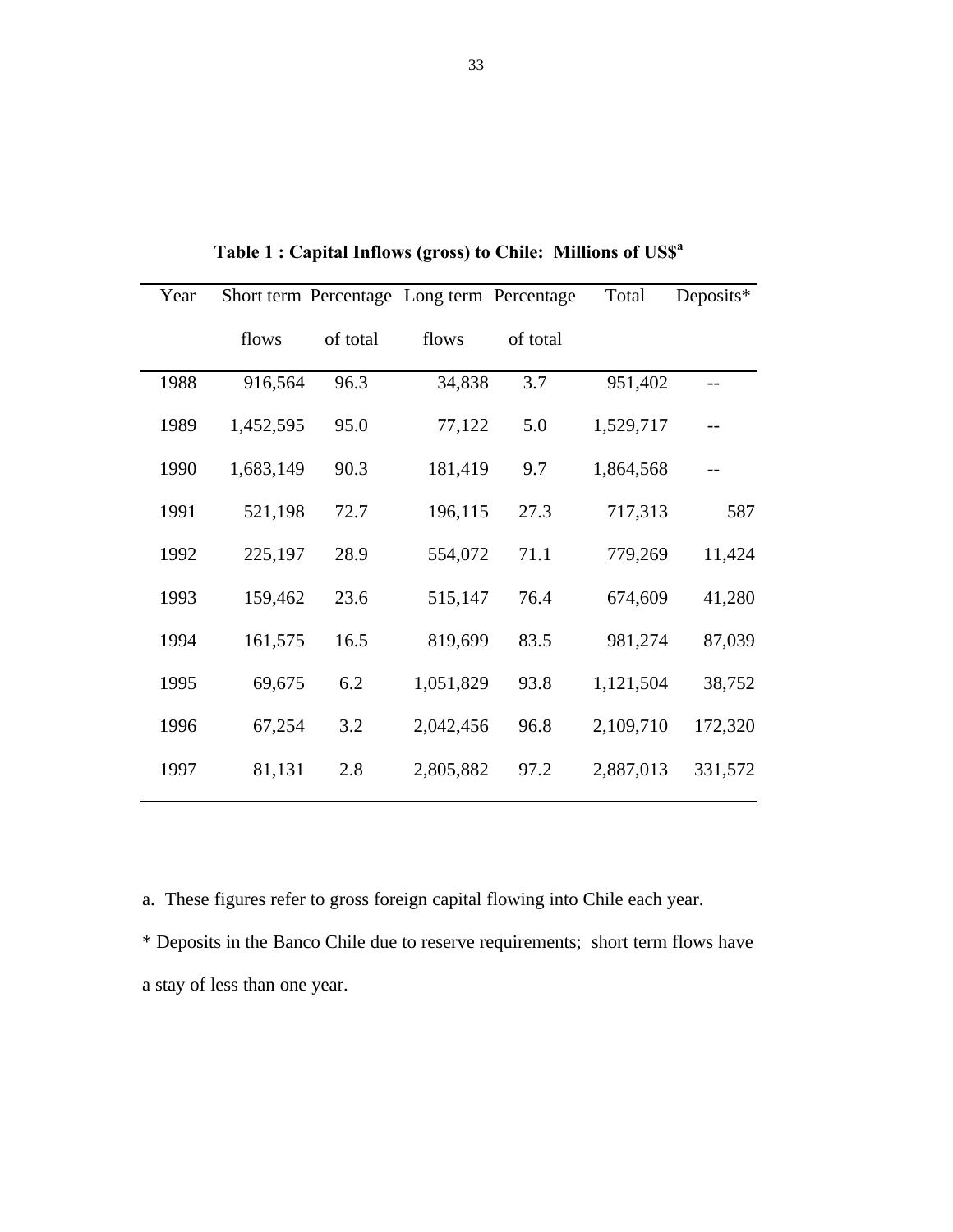| Year |           |          | Short term Percentage Long term Percentage |          | Total     | Deposits* |
|------|-----------|----------|--------------------------------------------|----------|-----------|-----------|
|      | flows     | of total | flows                                      | of total |           |           |
| 1988 | 916,564   | 96.3     | 34,838                                     | 3.7      | 951,402   |           |
| 1989 | 1,452,595 | 95.0     | 77,122                                     | 5.0      | 1,529,717 |           |
| 1990 | 1,683,149 | 90.3     | 181,419                                    | 9.7      | 1,864,568 |           |
| 1991 | 521,198   | 72.7     | 196,115                                    | 27.3     | 717,313   | 587       |
| 1992 | 225,197   | 28.9     | 554,072                                    | 71.1     | 779,269   | 11,424    |
| 1993 | 159,462   | 23.6     | 515,147                                    | 76.4     | 674,609   | 41,280    |
| 1994 | 161,575   | 16.5     | 819,699                                    | 83.5     | 981,274   | 87,039    |
| 1995 | 69,675    | 6.2      | 1,051,829                                  | 93.8     | 1,121,504 | 38,752    |
| 1996 | 67,254    | 3.2      | 2,042,456                                  | 96.8     | 2,109,710 | 172,320   |
| 1997 | 81,131    | 2.8      | 2,805,882                                  | 97.2     | 2,887,013 | 331,572   |

**Table 1 : Capital Inflows (gross) to Chile: Millions of US\$<sup>a</sup>**

a. These figures refer to gross foreign capital flowing into Chile each year.

\* Deposits in the Banco Chile due to reserve requirements; short term flows have a stay of less than one year.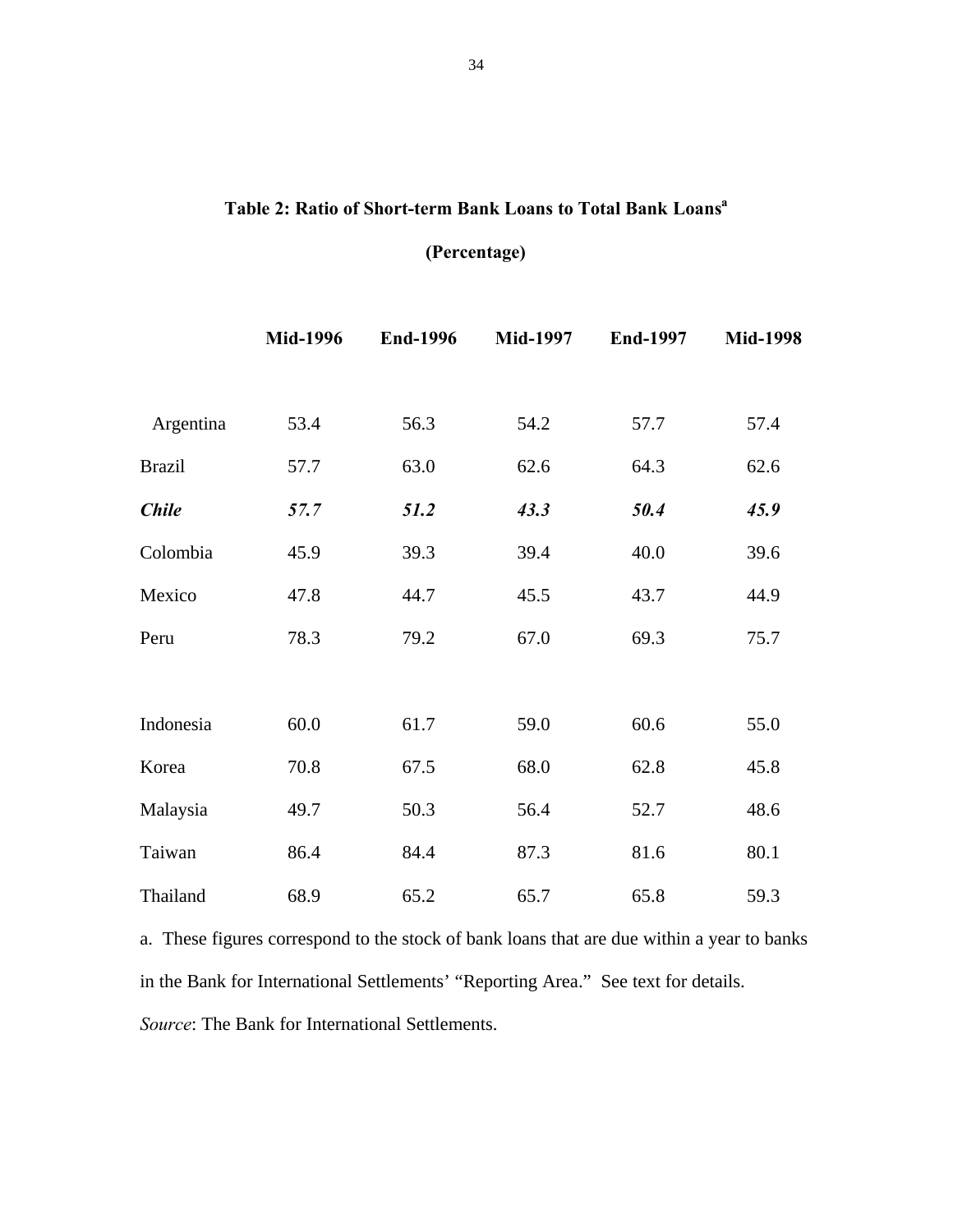# **Table 2: Ratio of Short-term Bank Loans to Total Bank Loans<sup>a</sup>**

# **(Percentage)**

|               | <b>Mid-1996</b> | <b>End-1996</b> | <b>Mid-1997</b> | <b>End-1997</b> | <b>Mid-1998</b> |
|---------------|-----------------|-----------------|-----------------|-----------------|-----------------|
|               |                 |                 |                 |                 |                 |
| Argentina     | 53.4            | 56.3            | 54.2            | 57.7            | 57.4            |
| <b>Brazil</b> | 57.7            | 63.0            | 62.6            | 64.3            | 62.6            |
| <b>Chile</b>  | 57.7            | 51.2            | 43.3            | 50.4            | 45.9            |
| Colombia      | 45.9            | 39.3            | 39.4            | 40.0            | 39.6            |
| Mexico        | 47.8            | 44.7            | 45.5            | 43.7            | 44.9            |
| Peru          | 78.3            | 79.2            | 67.0            | 69.3            | 75.7            |
|               |                 |                 |                 |                 |                 |
| Indonesia     | 60.0            | 61.7            | 59.0            | 60.6            | 55.0            |
| Korea         | 70.8            | 67.5            | 68.0            | 62.8            | 45.8            |
| Malaysia      | 49.7            | 50.3            | 56.4            | 52.7            | 48.6            |
| Taiwan        | 86.4            | 84.4            | 87.3            | 81.6            | 80.1            |
| Thailand      | 68.9            | 65.2            | 65.7            | 65.8            | 59.3            |

a. These figures correspond to the stock of bank loans that are due within a year to banks in the Bank for International Settlements' "Reporting Area." See text for details. *Source*: The Bank for International Settlements.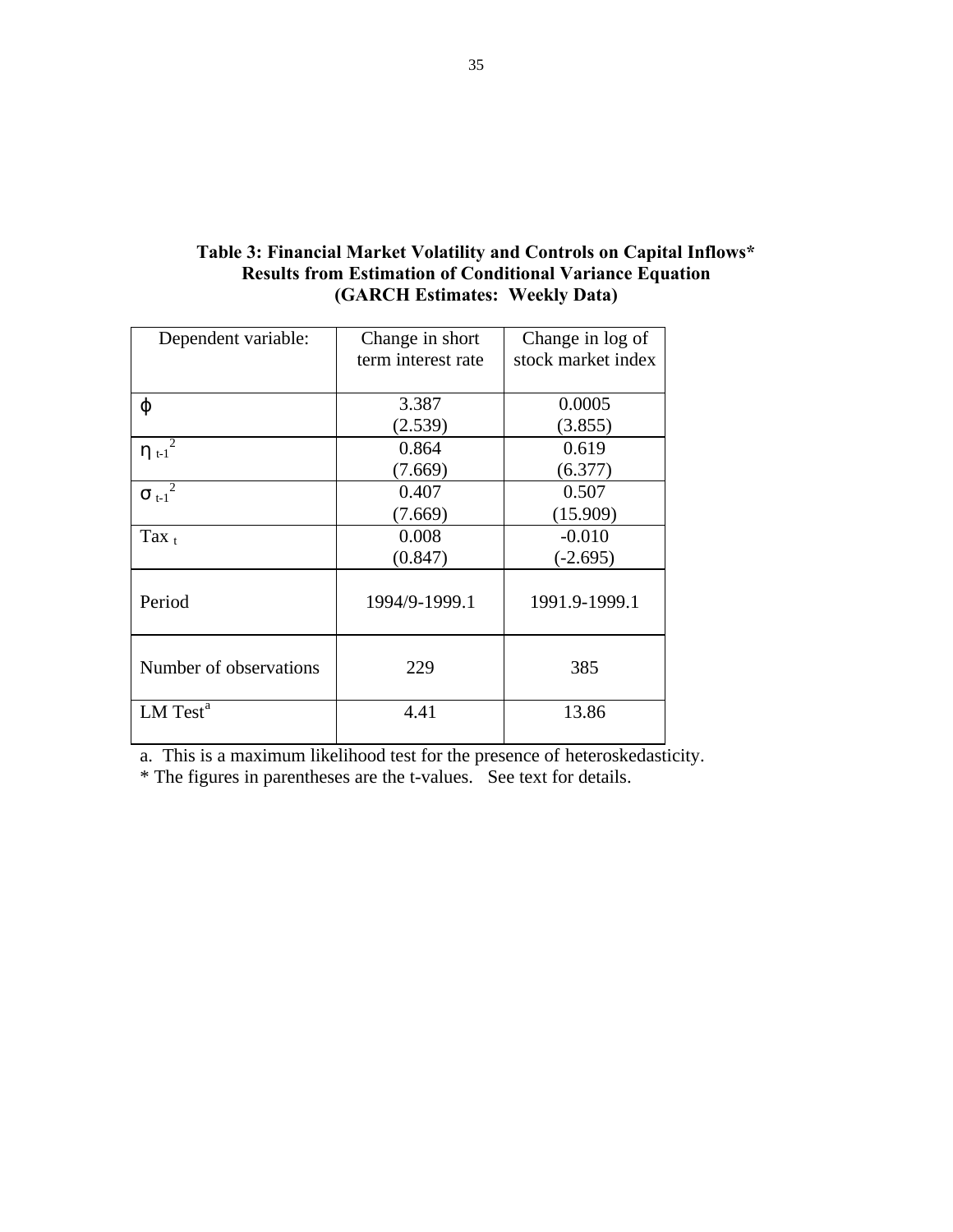| Dependent variable:    | Change in short    | Change in log of   |
|------------------------|--------------------|--------------------|
|                        | term interest rate | stock market index |
|                        |                    |                    |
| φ                      | 3.387              | 0.0005             |
|                        | (2.539)            | (3.855)            |
| $\eta_{t-1}$           | 0.864              | 0.619              |
|                        | (7.669)            | (6.377)            |
| $\sigma_{t-1}^2$       | 0.407              | 0.507              |
|                        | (7.669)            | (15.909)           |
| Tax $_{t}$             | 0.008              | $-0.010$           |
|                        | (0.847)            | $(-2.695)$         |
| Period                 | 1994/9-1999.1      | 1991.9-1999.1      |
| Number of observations | 229                | 385                |
| LM Test <sup>a</sup>   | 4.41               | 13.86              |

# **Table 3: Financial Market Volatility and Controls on Capital Inflows\* Results from Estimation of Conditional Variance Equation (GARCH Estimates: Weekly Data)**

a. This is a maximum likelihood test for the presence of heteroskedasticity.

\* The figures in parentheses are the t-values. See text for details.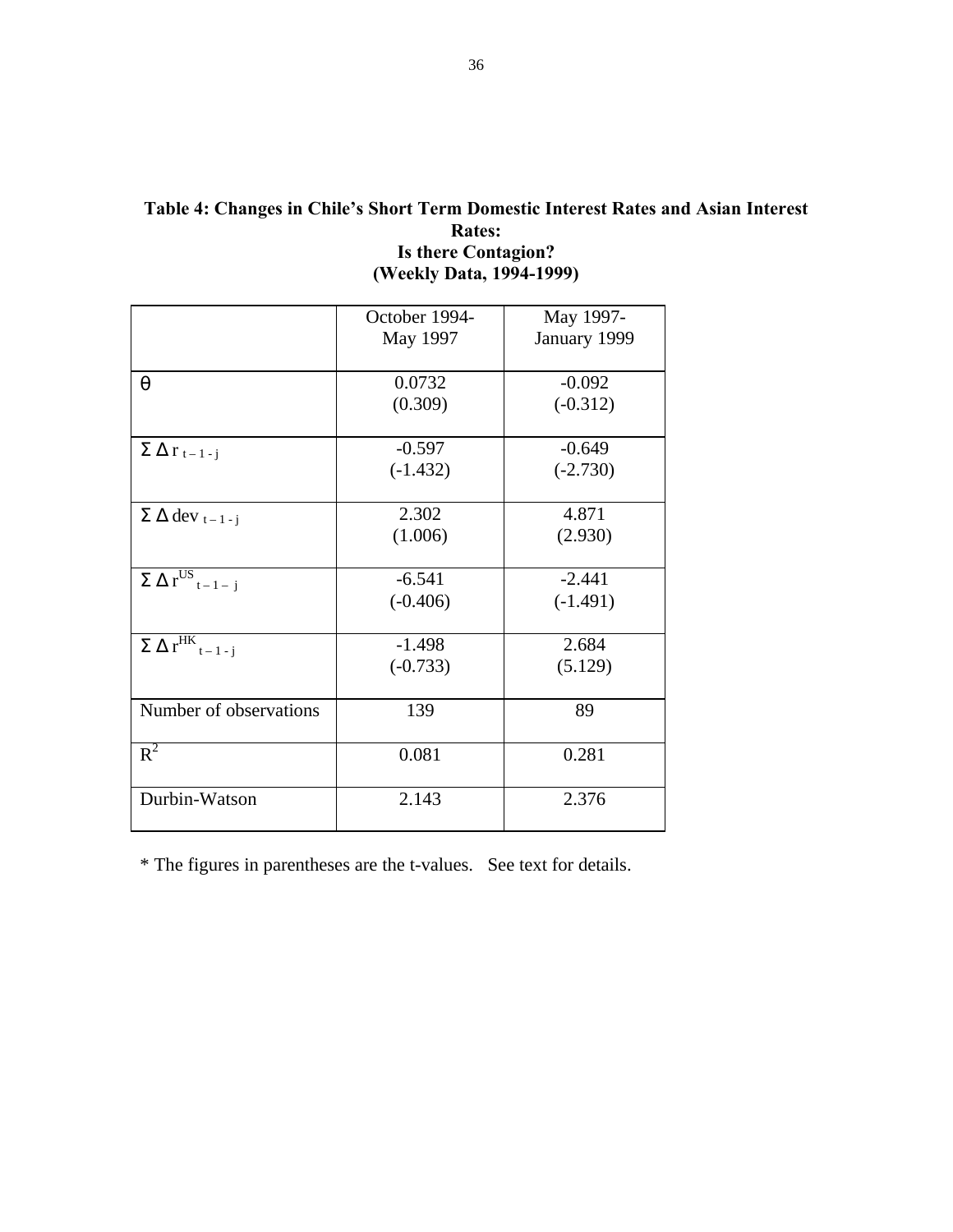|                                                    | October 1994- | May 1997-    |
|----------------------------------------------------|---------------|--------------|
|                                                    | May 1997      | January 1999 |
| $\theta$                                           | 0.0732        | $-0.092$     |
|                                                    | (0.309)       | $(-0.312)$   |
| $\Sigma \Delta r_{t-1-j}$                          | $-0.597$      | $-0.649$     |
|                                                    | $(-1.432)$    | $(-2.730)$   |
| $\Sigma \Delta$ dev <sub>t-1-j</sub>               | 2.302         | 4.871        |
|                                                    | (1.006)       | (2.930)      |
| $\overline{\Sigma \Delta r}^{US}$ <sub>t-1-j</sub> | $-6.541$      | $-2.441$     |
|                                                    | $(-0.406)$    | $(-1.491)$   |
| $\overline{\Sigma\;\Delta\;r^{HK}_{t-1}}$ .        | $-1.498$      | 2.684        |
|                                                    | $(-0.733)$    | (5.129)      |
| Number of observations                             | 139           | 89           |
| $R^2$                                              | 0.081         | 0.281        |
| Durbin-Watson                                      | 2.143         | 2.376        |

# **Table 4: Changes in Chile's Short Term Domestic Interest Rates and Asian Interest Rates: Is there Contagion? (Weekly Data, 1994-1999)**

\* The figures in parentheses are the t-values. See text for details.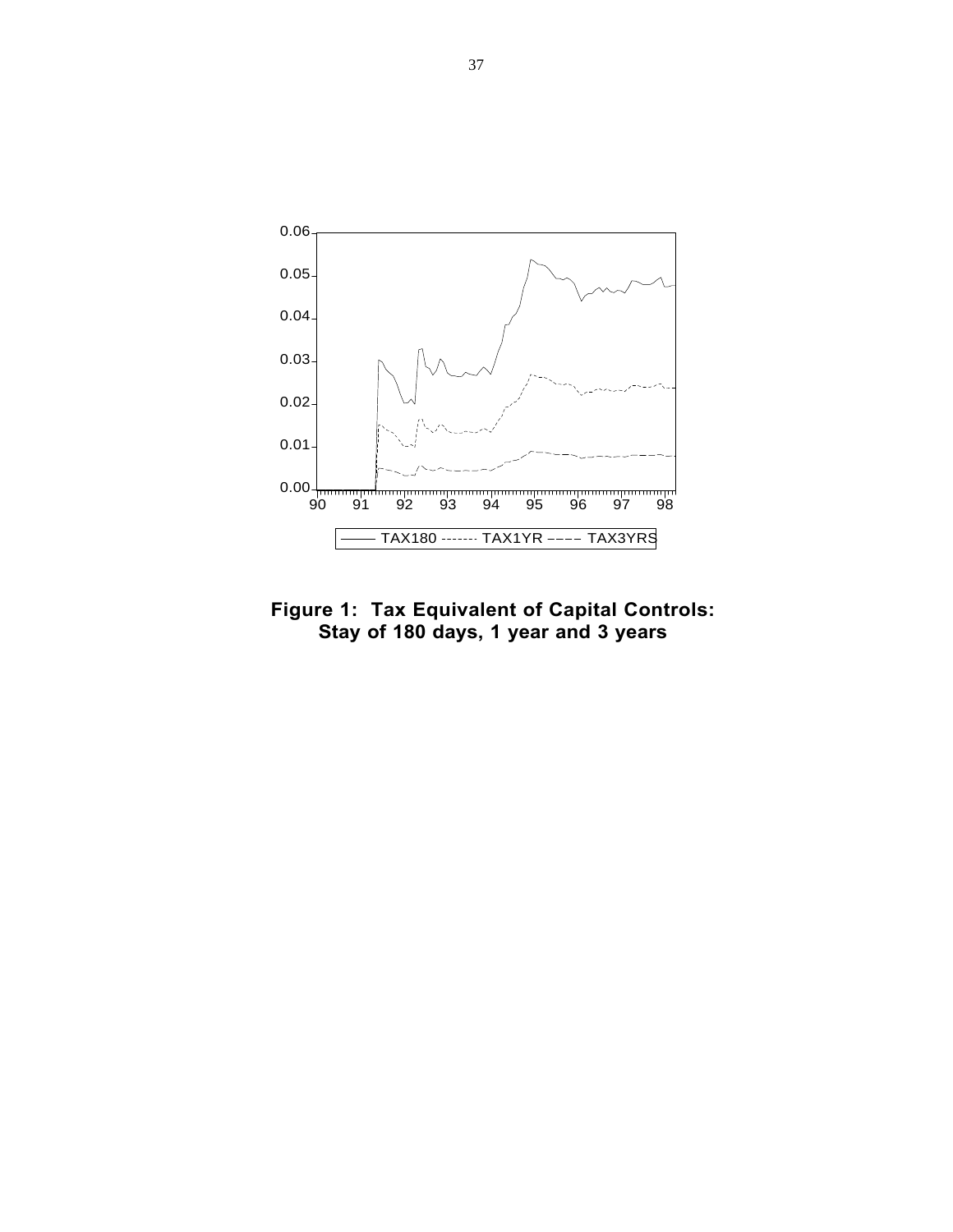

**Figure 1: Tax Equivalent of Capital Controls: Stay of 180 days, 1 year and 3 years**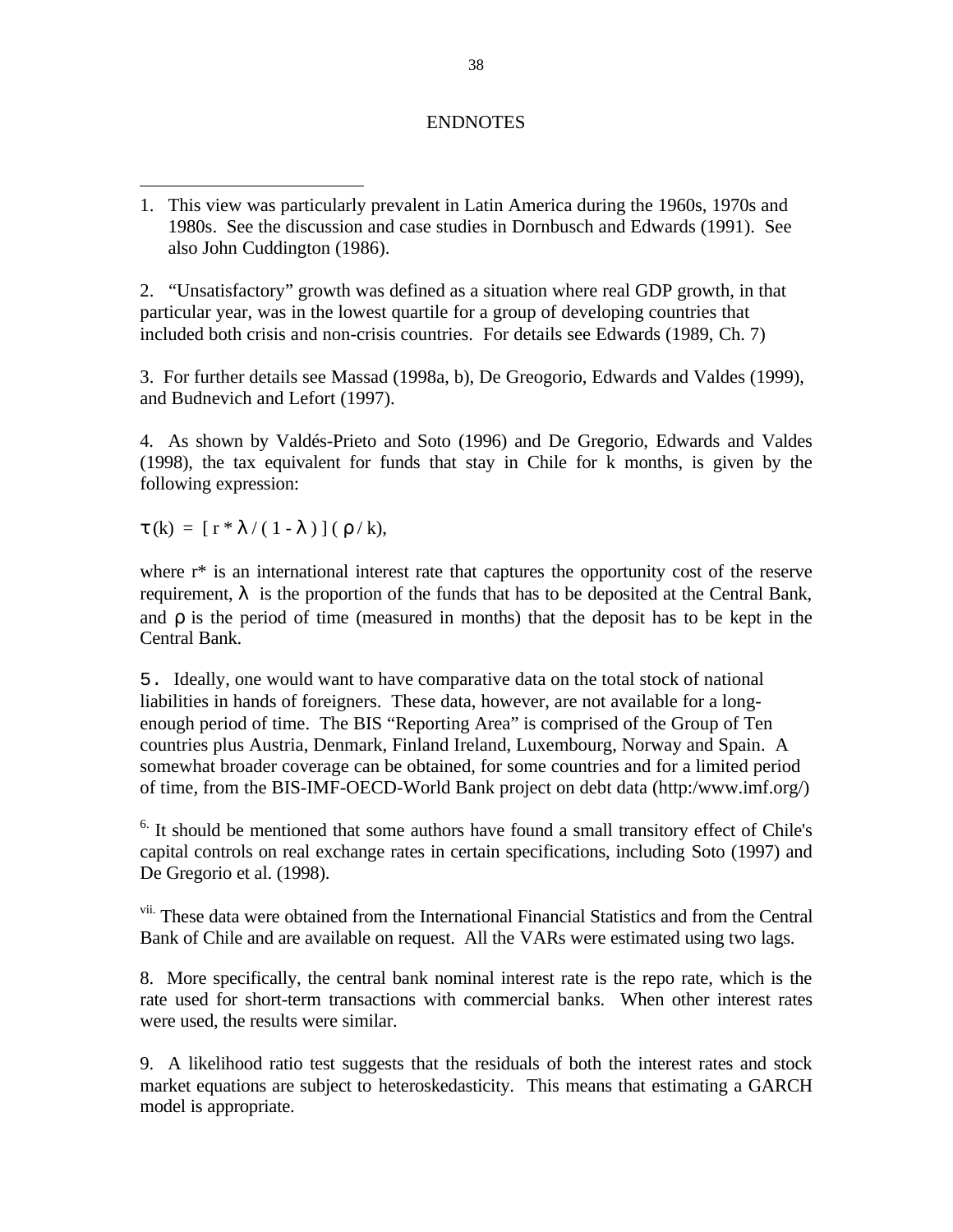## ENDNOTES

2. "Unsatisfactory" growth was defined as a situation where real GDP growth, in that particular year, was in the lowest quartile for a group of developing countries that included both crisis and non-crisis countries. For details see Edwards (1989, Ch. 7)

3. For further details see Massad (1998a, b), De Greogorio, Edwards and Valdes (1999), and Budnevich and Lefort (1997).

4. As shown by Valdés-Prieto and Soto (1996) and De Gregorio, Edwards and Valdes (1998), the tax equivalent for funds that stay in Chile for k months, is given by the following expression:

 $\tau$  (k) =  $[r * \lambda / (1 - \lambda)] (\rho / k),$ 

where  $r^*$  is an international interest rate that captures the opportunity cost of the reserve requirement,  $\lambda$  is the proportion of the funds that has to be deposited at the Central Bank, and ρ is the period of time (measured in months) that the deposit has to be kept in the Central Bank.

5. Ideally, one would want to have comparative data on the total stock of national liabilities in hands of foreigners. These data, however, are not available for a longenough period of time. The BIS "Reporting Area" is comprised of the Group of Ten countries plus Austria, Denmark, Finland Ireland, Luxembourg, Norway and Spain. A somewhat broader coverage can be obtained, for some countries and for a limited period of time, from the BIS-IMF-OECD-World Bank project on debt data (http:/www.imf.org/)

 $6.$  It should be mentioned that some authors have found a small transitory effect of Chile's capital controls on real exchange rates in certain specifications, including Soto (1997) and De Gregorio et al. (1998).

vii. These data were obtained from the International Financial Statistics and from the Central Bank of Chile and are available on request. All the VARs were estimated using two lags.

8. More specifically, the central bank nominal interest rate is the repo rate, which is the rate used for short-term transactions with commercial banks. When other interest rates were used, the results were similar.

9. A likelihood ratio test suggests that the residuals of both the interest rates and stock market equations are subject to heteroskedasticity. This means that estimating a GARCH model is appropriate.

<sup>-</sup>1. This view was particularly prevalent in Latin America during the 1960s, 1970s and 1980s. See the discussion and case studies in Dornbusch and Edwards (1991). See also John Cuddington (1986).